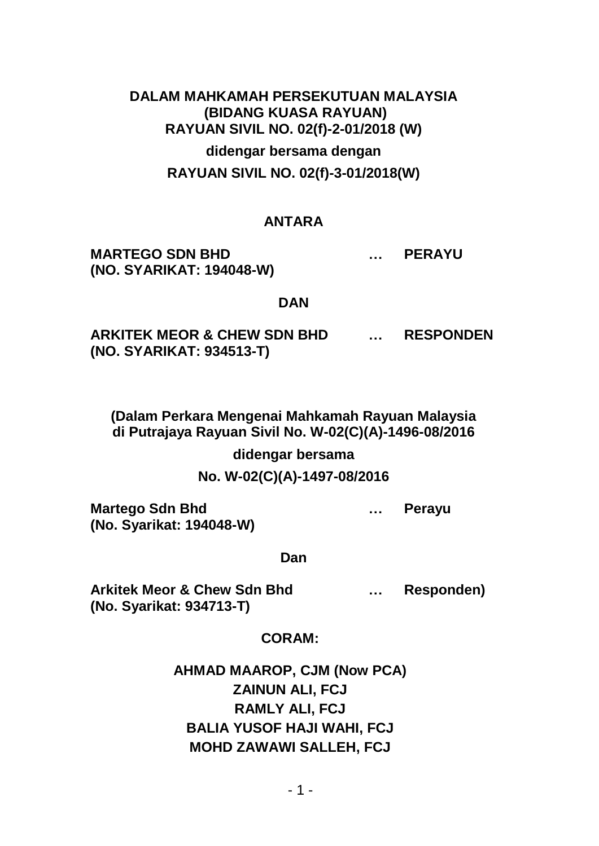# **DALAM MAHKAMAH PERSEKUTUAN MALAYSIA (BIDANG KUASA RAYUAN) RAYUAN SIVIL NO. 02(f)-2-01/2018 (W) didengar bersama dengan RAYUAN SIVIL NO. 02(f)-3-01/2018(W)**

#### **ANTARA**

**MARTEGO SDN BHD … PERAYU (NO. SYARIKAT: 194048-W)**

#### **DAN**

**ARKITEK MEOR & CHEW SDN BHD … RESPONDEN (NO. SYARIKAT: 934513-T)**

**(Dalam Perkara Mengenai Mahkamah Rayuan Malaysia di Putrajaya Rayuan Sivil No. W-02(C)(A)-1496-08/2016** 

**didengar bersama**

**No. W-02(C)(A)-1497-08/2016**

**Martego Sdn Bhd … Perayu (No. Syarikat: 194048-W)**

**Dan**

**Arkitek Meor & Chew Sdn Bhd … Responden) (No. Syarikat: 934713-T)**

**CORAM:**

**AHMAD MAAROP, CJM (Now PCA) ZAINUN ALI, FCJ RAMLY ALI, FCJ BALIA YUSOF HAJI WAHI, FCJ MOHD ZAWAWI SALLEH, FCJ**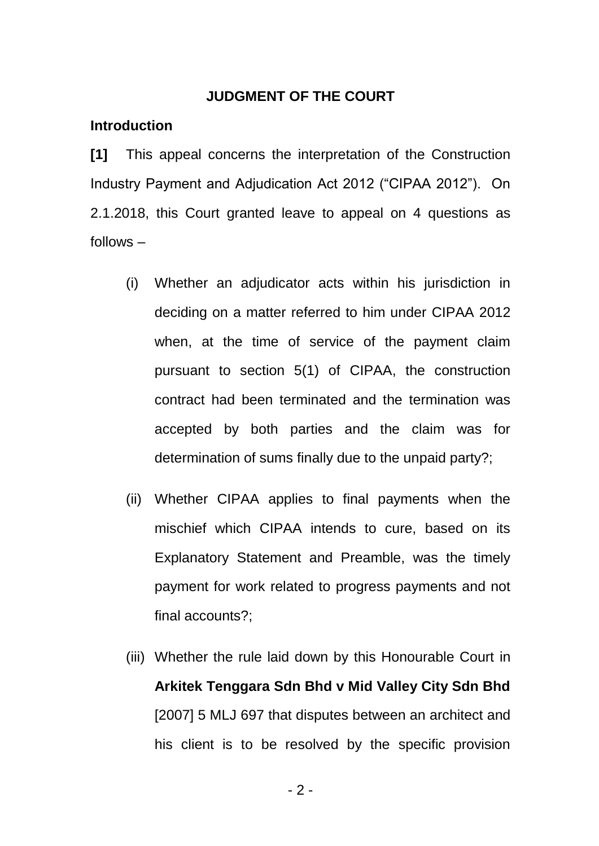#### **JUDGMENT OF THE COURT**

#### **Introduction**

**[1]** This appeal concerns the interpretation of the Construction Industry Payment and Adjudication Act 2012 ("CIPAA 2012"). On 2.1.2018, this Court granted leave to appeal on 4 questions as follows –

- (i) Whether an adjudicator acts within his jurisdiction in deciding on a matter referred to him under CIPAA 2012 when, at the time of service of the payment claim pursuant to section 5(1) of CIPAA, the construction contract had been terminated and the termination was accepted by both parties and the claim was for determination of sums finally due to the unpaid party?;
- (ii) Whether CIPAA applies to final payments when the mischief which CIPAA intends to cure, based on its Explanatory Statement and Preamble, was the timely payment for work related to progress payments and not final accounts?;
- (iii) Whether the rule laid down by this Honourable Court in **Arkitek Tenggara Sdn Bhd v Mid Valley City Sdn Bhd** [2007] 5 MLJ 697 that disputes between an architect and his client is to be resolved by the specific provision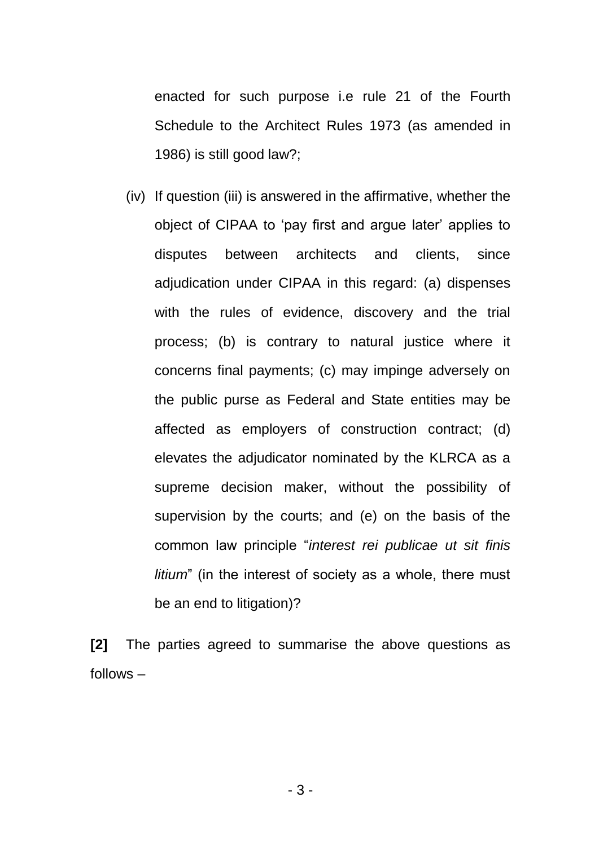enacted for such purpose i.e rule 21 of the Fourth Schedule to the Architect Rules 1973 (as amended in 1986) is still good law?;

(iv) If question (iii) is answered in the affirmative, whether the object of CIPAA to 'pay first and argue later' applies to disputes between architects and clients, since adjudication under CIPAA in this regard: (a) dispenses with the rules of evidence, discovery and the trial process; (b) is contrary to natural justice where it concerns final payments; (c) may impinge adversely on the public purse as Federal and State entities may be affected as employers of construction contract; (d) elevates the adjudicator nominated by the KLRCA as a supreme decision maker, without the possibility of supervision by the courts; and (e) on the basis of the common law principle "*interest rei publicae ut sit finis litium*" (in the interest of society as a whole, there must be an end to litigation)?

**[2]** The parties agreed to summarise the above questions as follows –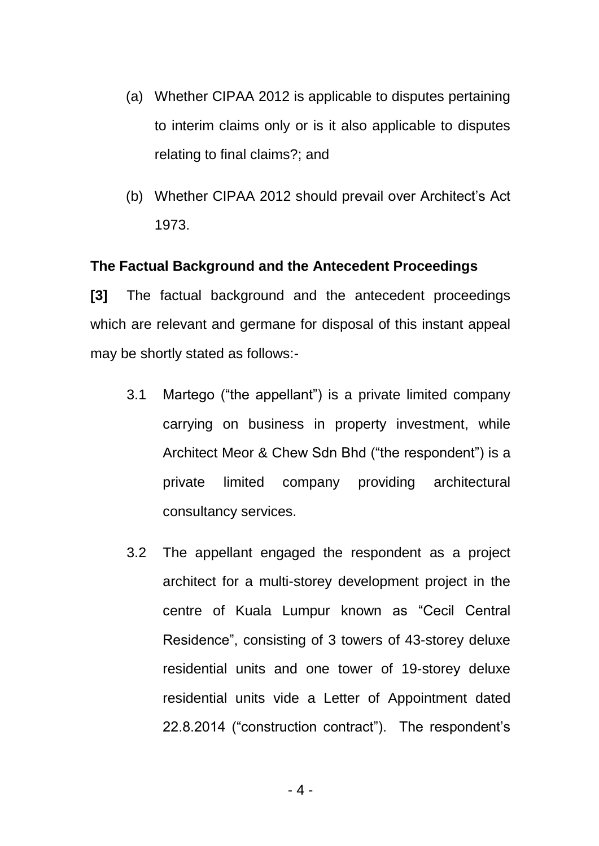- (a) Whether CIPAA 2012 is applicable to disputes pertaining to interim claims only or is it also applicable to disputes relating to final claims?; and
- (b) Whether CIPAA 2012 should prevail over Architect's Act 1973.

#### **The Factual Background and the Antecedent Proceedings**

**[3]** The factual background and the antecedent proceedings which are relevant and germane for disposal of this instant appeal may be shortly stated as follows:-

- 3.1 Martego ("the appellant") is a private limited company carrying on business in property investment, while Architect Meor & Chew Sdn Bhd ("the respondent") is a private limited company providing architectural consultancy services.
- 3.2 The appellant engaged the respondent as a project architect for a multi-storey development project in the centre of Kuala Lumpur known as "Cecil Central Residence", consisting of 3 towers of 43-storey deluxe residential units and one tower of 19-storey deluxe residential units vide a Letter of Appointment dated 22.8.2014 ("construction contract"). The respondent's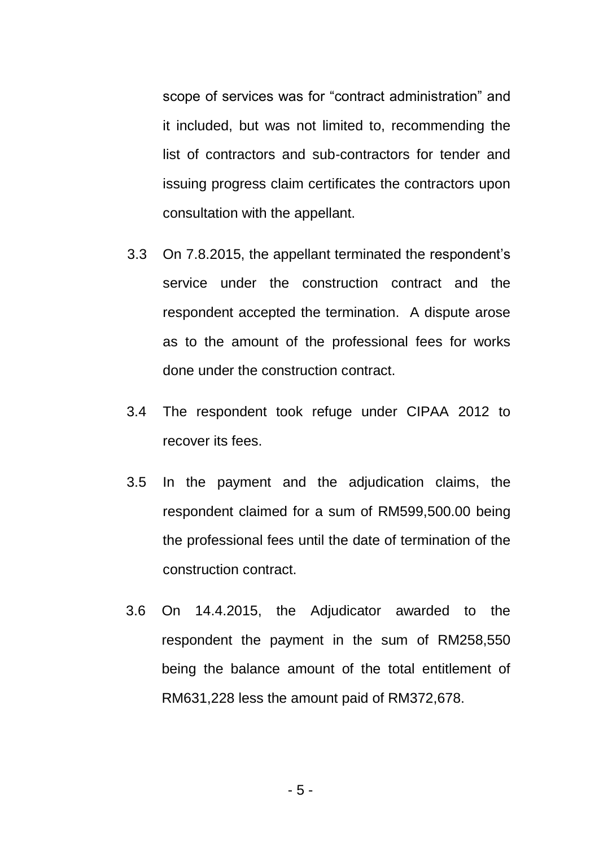scope of services was for "contract administration" and it included, but was not limited to, recommending the list of contractors and sub-contractors for tender and issuing progress claim certificates the contractors upon consultation with the appellant.

- 3.3 On 7.8.2015, the appellant terminated the respondent's service under the construction contract and the respondent accepted the termination. A dispute arose as to the amount of the professional fees for works done under the construction contract.
- 3.4 The respondent took refuge under CIPAA 2012 to recover its fees.
- 3.5 In the payment and the adjudication claims, the respondent claimed for a sum of RM599,500.00 being the professional fees until the date of termination of the construction contract.
- 3.6 On 14.4.2015, the Adjudicator awarded to the respondent the payment in the sum of RM258,550 being the balance amount of the total entitlement of RM631,228 less the amount paid of RM372,678.

- 5 -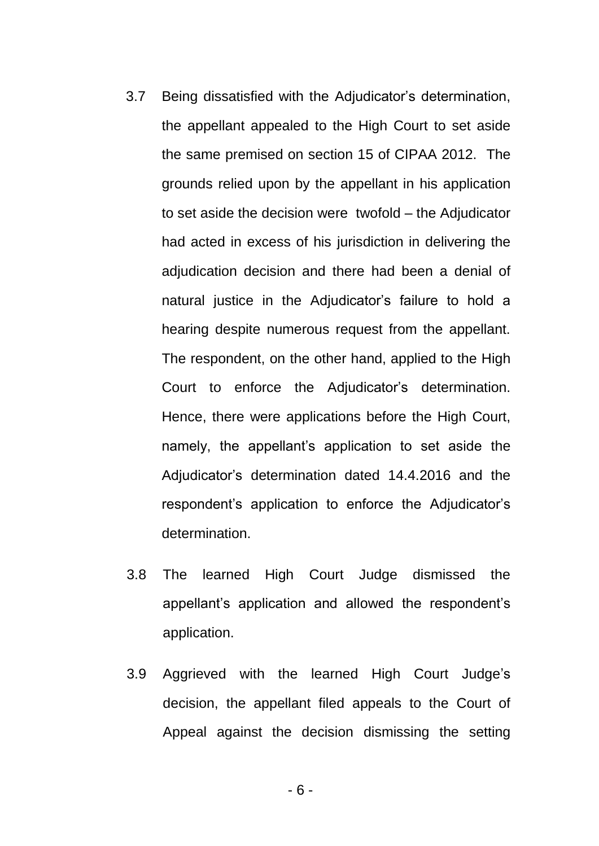- 3.7 Being dissatisfied with the Adjudicator's determination, the appellant appealed to the High Court to set aside the same premised on section 15 of CIPAA 2012. The grounds relied upon by the appellant in his application to set aside the decision were twofold – the Adjudicator had acted in excess of his jurisdiction in delivering the adjudication decision and there had been a denial of natural justice in the Adjudicator's failure to hold a hearing despite numerous request from the appellant. The respondent, on the other hand, applied to the High Court to enforce the Adjudicator's determination. Hence, there were applications before the High Court, namely, the appellant's application to set aside the Adjudicator's determination dated 14.4.2016 and the respondent's application to enforce the Adjudicator's determination.
- 3.8 The learned High Court Judge dismissed the appellant's application and allowed the respondent's application.
- 3.9 Aggrieved with the learned High Court Judge's decision, the appellant filed appeals to the Court of Appeal against the decision dismissing the setting

- 6 -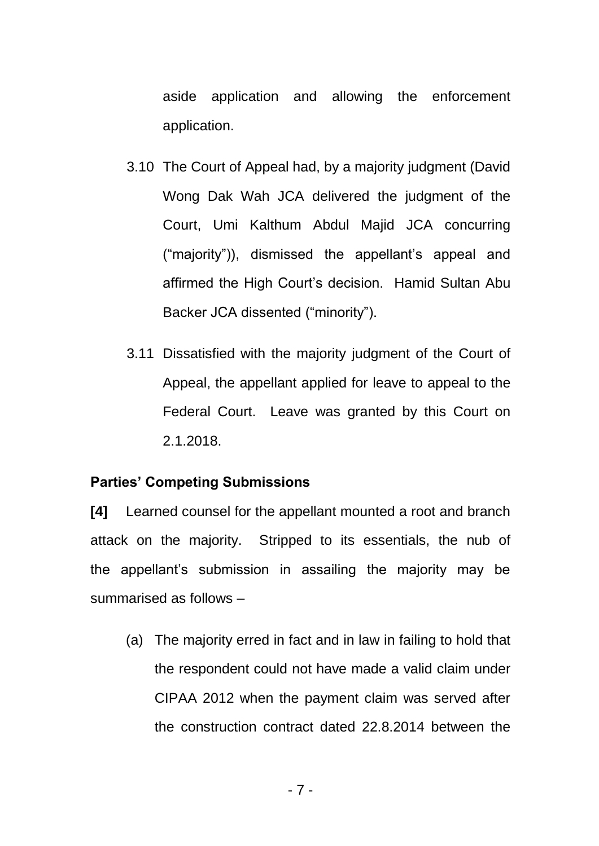aside application and allowing the enforcement application.

- 3.10 The Court of Appeal had, by a majority judgment (David Wong Dak Wah JCA delivered the judgment of the Court, Umi Kalthum Abdul Majid JCA concurring ("majority")), dismissed the appellant's appeal and affirmed the High Court's decision. Hamid Sultan Abu Backer JCA dissented ("minority").
- 3.11 Dissatisfied with the majority judgment of the Court of Appeal, the appellant applied for leave to appeal to the Federal Court. Leave was granted by this Court on 2.1.2018.

### **Parties' Competing Submissions**

**[4]** Learned counsel for the appellant mounted a root and branch attack on the majority. Stripped to its essentials, the nub of the appellant's submission in assailing the majority may be summarised as follows –

(a) The majority erred in fact and in law in failing to hold that the respondent could not have made a valid claim under CIPAA 2012 when the payment claim was served after the construction contract dated 22.8.2014 between the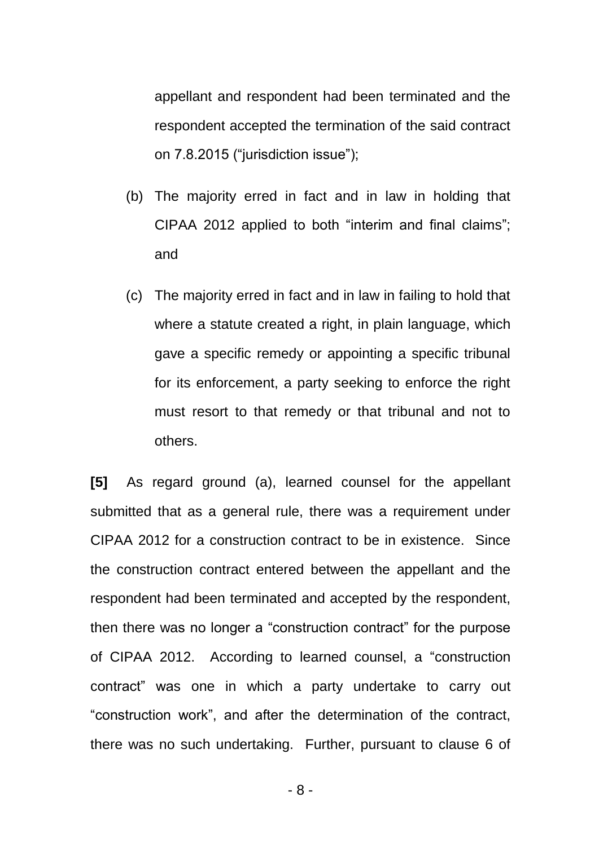appellant and respondent had been terminated and the respondent accepted the termination of the said contract on 7.8.2015 ("jurisdiction issue");

- (b) The majority erred in fact and in law in holding that CIPAA 2012 applied to both "interim and final claims"; and
- (c) The majority erred in fact and in law in failing to hold that where a statute created a right, in plain language, which gave a specific remedy or appointing a specific tribunal for its enforcement, a party seeking to enforce the right must resort to that remedy or that tribunal and not to others.

**[5]** As regard ground (a), learned counsel for the appellant submitted that as a general rule, there was a requirement under CIPAA 2012 for a construction contract to be in existence. Since the construction contract entered between the appellant and the respondent had been terminated and accepted by the respondent, then there was no longer a "construction contract" for the purpose of CIPAA 2012. According to learned counsel, a "construction contract" was one in which a party undertake to carry out "construction work", and after the determination of the contract, there was no such undertaking. Further, pursuant to clause 6 of

- 8 -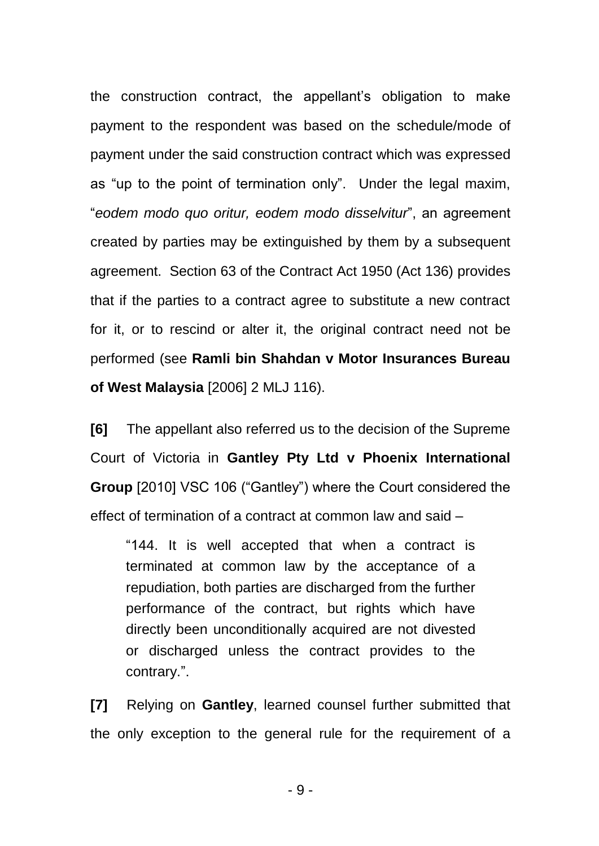the construction contract, the appellant's obligation to make payment to the respondent was based on the schedule/mode of payment under the said construction contract which was expressed as "up to the point of termination only". Under the legal maxim, "*eodem modo quo oritur, eodem modo disselvitur*", an agreement created by parties may be extinguished by them by a subsequent agreement. Section 63 of the Contract Act 1950 (Act 136) provides that if the parties to a contract agree to substitute a new contract for it, or to rescind or alter it, the original contract need not be performed (see **Ramli bin Shahdan v Motor Insurances Bureau of West Malaysia** [2006] 2 MLJ 116).

**[6]** The appellant also referred us to the decision of the Supreme Court of Victoria in **Gantley Pty Ltd v Phoenix International Group** [2010] VSC 106 ("Gantley") where the Court considered the effect of termination of a contract at common law and said –

"144. It is well accepted that when a contract is terminated at common law by the acceptance of a repudiation, both parties are discharged from the further performance of the contract, but rights which have directly been unconditionally acquired are not divested or discharged unless the contract provides to the contrary.".

**[7]** Relying on **Gantley**, learned counsel further submitted that the only exception to the general rule for the requirement of a

- 9 -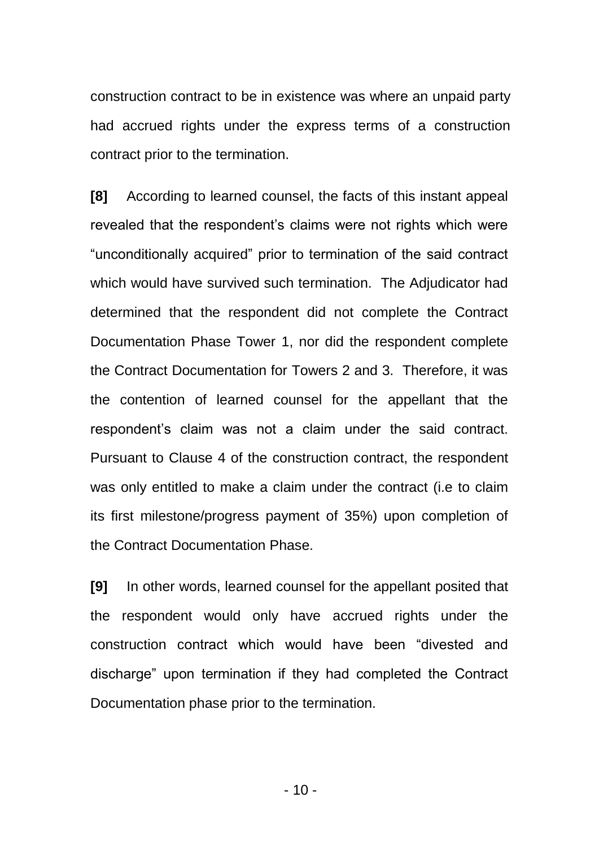construction contract to be in existence was where an unpaid party had accrued rights under the express terms of a construction contract prior to the termination.

**[8]** According to learned counsel, the facts of this instant appeal revealed that the respondent's claims were not rights which were "unconditionally acquired" prior to termination of the said contract which would have survived such termination. The Adjudicator had determined that the respondent did not complete the Contract Documentation Phase Tower 1, nor did the respondent complete the Contract Documentation for Towers 2 and 3. Therefore, it was the contention of learned counsel for the appellant that the respondent's claim was not a claim under the said contract. Pursuant to Clause 4 of the construction contract, the respondent was only entitled to make a claim under the contract (i.e to claim its first milestone/progress payment of 35%) upon completion of the Contract Documentation Phase.

**[9]** In other words, learned counsel for the appellant posited that the respondent would only have accrued rights under the construction contract which would have been "divested and discharge" upon termination if they had completed the Contract Documentation phase prior to the termination.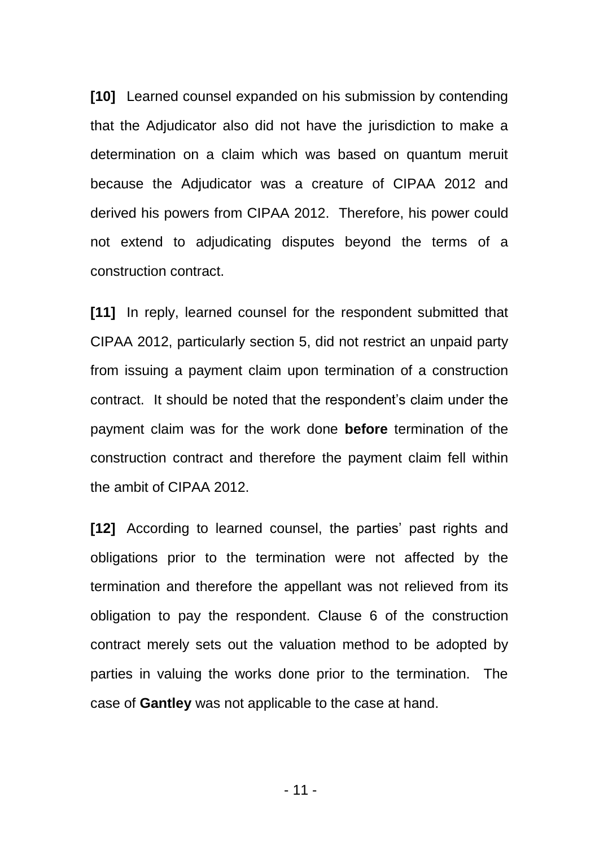**[10]** Learned counsel expanded on his submission by contending that the Adjudicator also did not have the jurisdiction to make a determination on a claim which was based on quantum meruit because the Adjudicator was a creature of CIPAA 2012 and derived his powers from CIPAA 2012. Therefore, his power could not extend to adjudicating disputes beyond the terms of a construction contract.

**[11]** In reply, learned counsel for the respondent submitted that CIPAA 2012, particularly section 5, did not restrict an unpaid party from issuing a payment claim upon termination of a construction contract. It should be noted that the respondent's claim under the payment claim was for the work done **before** termination of the construction contract and therefore the payment claim fell within the ambit of CIPAA 2012.

**[12]** According to learned counsel, the parties' past rights and obligations prior to the termination were not affected by the termination and therefore the appellant was not relieved from its obligation to pay the respondent. Clause 6 of the construction contract merely sets out the valuation method to be adopted by parties in valuing the works done prior to the termination. The case of **Gantley** was not applicable to the case at hand.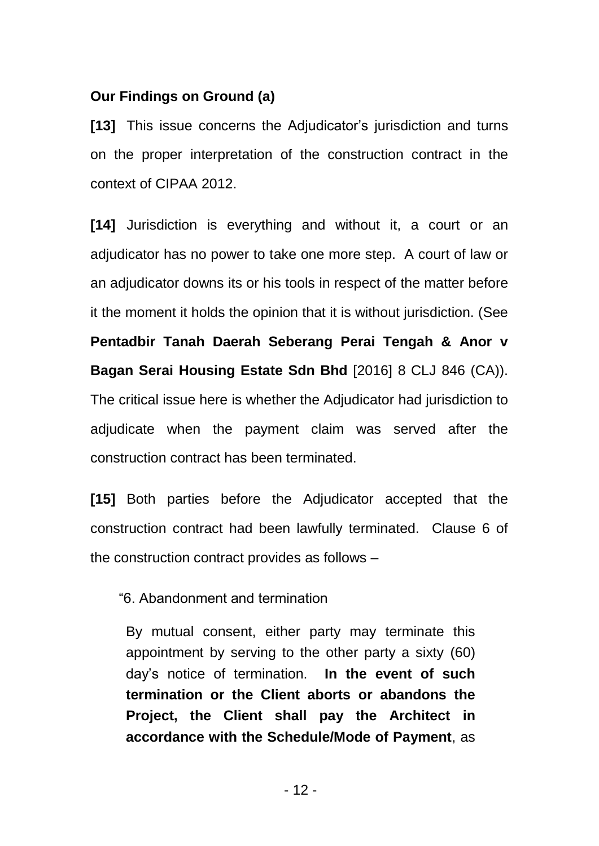### **Our Findings on Ground (a)**

**[13]** This issue concerns the Adjudicator's jurisdiction and turns on the proper interpretation of the construction contract in the context of CIPAA 2012.

**[14]** Jurisdiction is everything and without it, a court or an adjudicator has no power to take one more step. A court of law or an adjudicator downs its or his tools in respect of the matter before it the moment it holds the opinion that it is without jurisdiction. (See **Pentadbir Tanah Daerah Seberang Perai Tengah & Anor v Bagan Serai Housing Estate Sdn Bhd** [2016] 8 CLJ 846 (CA)). The critical issue here is whether the Adjudicator had jurisdiction to adjudicate when the payment claim was served after the construction contract has been terminated.

**[15]** Both parties before the Adjudicator accepted that the construction contract had been lawfully terminated. Clause 6 of the construction contract provides as follows –

"6. Abandonment and termination

By mutual consent, either party may terminate this appointment by serving to the other party a sixty (60) day's notice of termination. **In the event of such termination or the Client aborts or abandons the Project, the Client shall pay the Architect in accordance with the Schedule/Mode of Payment**, as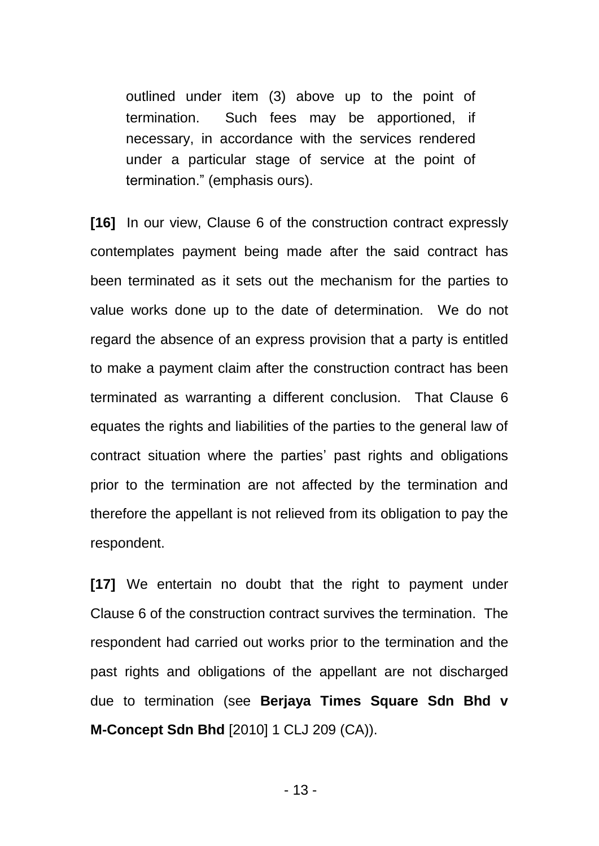outlined under item (3) above up to the point of termination. Such fees may be apportioned, if necessary, in accordance with the services rendered under a particular stage of service at the point of termination." (emphasis ours).

**[16]** In our view, Clause 6 of the construction contract expressly contemplates payment being made after the said contract has been terminated as it sets out the mechanism for the parties to value works done up to the date of determination. We do not regard the absence of an express provision that a party is entitled to make a payment claim after the construction contract has been terminated as warranting a different conclusion. That Clause 6 equates the rights and liabilities of the parties to the general law of contract situation where the parties' past rights and obligations prior to the termination are not affected by the termination and therefore the appellant is not relieved from its obligation to pay the respondent.

**[17]** We entertain no doubt that the right to payment under Clause 6 of the construction contract survives the termination. The respondent had carried out works prior to the termination and the past rights and obligations of the appellant are not discharged due to termination (see **Berjaya Times Square Sdn Bhd v M-Concept Sdn Bhd** [2010] 1 CLJ 209 (CA)).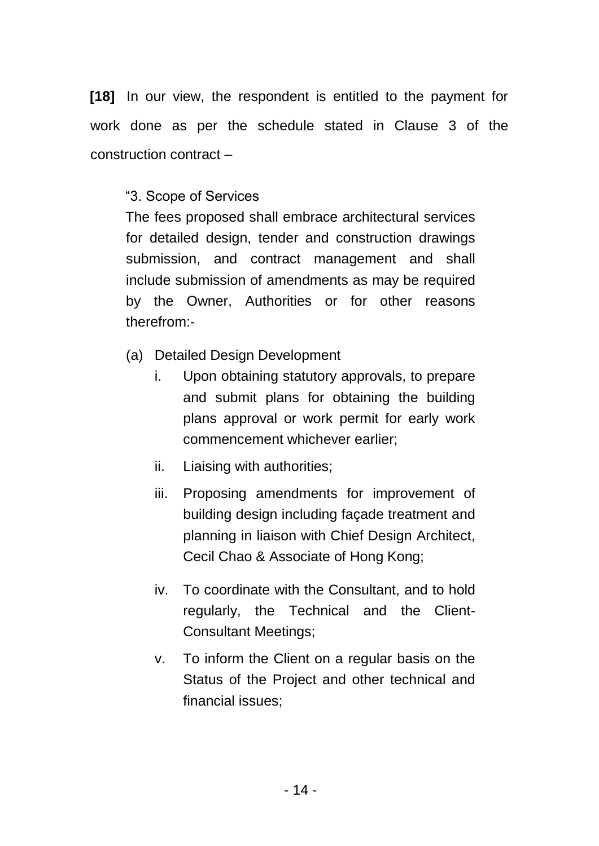**[18]** In our view, the respondent is entitled to the payment for work done as per the schedule stated in Clause 3 of the construction contract –

## "3. Scope of Services

The fees proposed shall embrace architectural services for detailed design, tender and construction drawings submission, and contract management and shall include submission of amendments as may be required by the Owner, Authorities or for other reasons therefrom:-

- (a) Detailed Design Development
	- i. Upon obtaining statutory approvals, to prepare and submit plans for obtaining the building plans approval or work permit for early work commencement whichever earlier;
	- ii. Liaising with authorities;
	- iii. Proposing amendments for improvement of building design including façade treatment and planning in liaison with Chief Design Architect, Cecil Chao & Associate of Hong Kong;
	- iv. To coordinate with the Consultant, and to hold regularly, the Technical and the Client-Consultant Meetings;
	- v. To inform the Client on a regular basis on the Status of the Project and other technical and financial issues;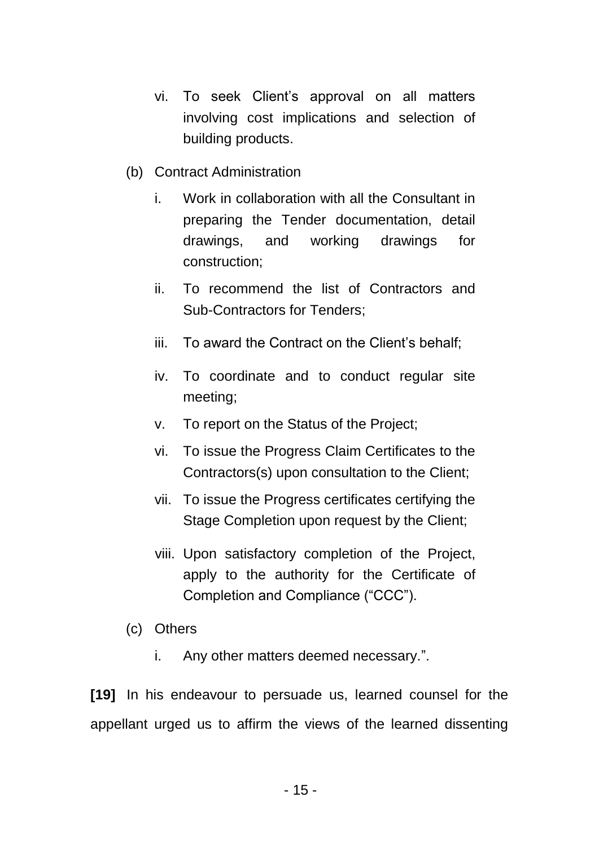- vi. To seek Client's approval on all matters involving cost implications and selection of building products.
- (b) Contract Administration
	- i. Work in collaboration with all the Consultant in preparing the Tender documentation, detail drawings, and working drawings for construction;
	- ii. To recommend the list of Contractors and Sub-Contractors for Tenders;
	- iii. To award the Contract on the Client's behalf;
	- iv. To coordinate and to conduct regular site meeting;
	- v. To report on the Status of the Project;
	- vi. To issue the Progress Claim Certificates to the Contractors(s) upon consultation to the Client;
	- vii. To issue the Progress certificates certifying the Stage Completion upon request by the Client;
	- viii. Upon satisfactory completion of the Project, apply to the authority for the Certificate of Completion and Compliance ("CCC").
- (c) Others
	- i. Any other matters deemed necessary.".

**[19]** In his endeavour to persuade us, learned counsel for the appellant urged us to affirm the views of the learned dissenting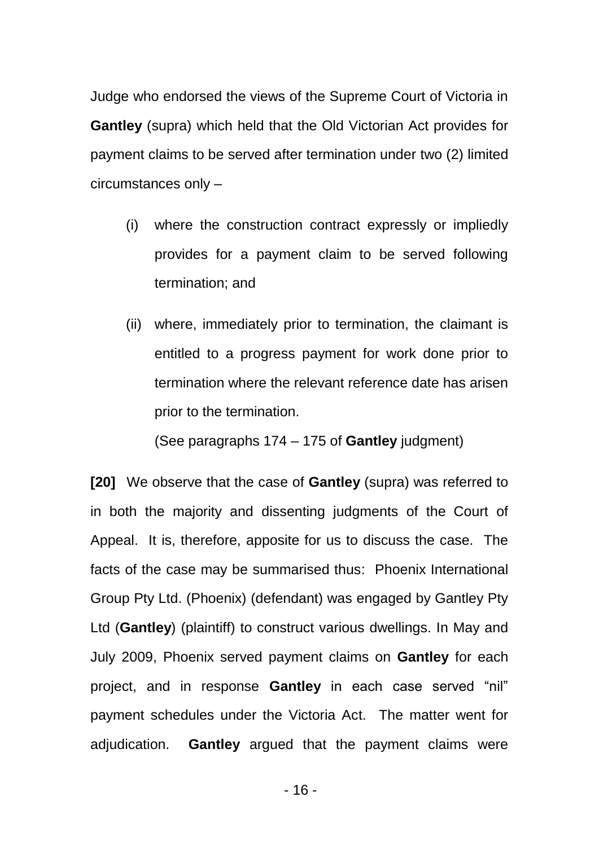Judge who endorsed the views of the Supreme Court of Victoria in **Gantley** (supra) which held that the Old Victorian Act provides for payment claims to be served after termination under two (2) limited circumstances only –

- (i) where the construction contract expressly or impliedly provides for a payment claim to be served following termination; and
- (ii) where, immediately prior to termination, the claimant is entitled to a progress payment for work done prior to termination where the relevant reference date has arisen prior to the termination.

(See paragraphs 174 – 175 of **Gantley** judgment)

**[20]** We observe that the case of **Gantley** (supra) was referred to in both the majority and dissenting judgments of the Court of Appeal. It is, therefore, apposite for us to discuss the case. The facts of the case may be summarised thus: Phoenix International Group Pty Ltd. (Phoenix) (defendant) was engaged by Gantley Pty Ltd (**Gantley**) (plaintiff) to construct various dwellings. In May and July 2009, Phoenix served payment claims on **Gantley** for each project, and in response **Gantley** in each case served "nil" payment schedules under the Victoria Act. The matter went for adjudication. **Gantley** argued that the payment claims were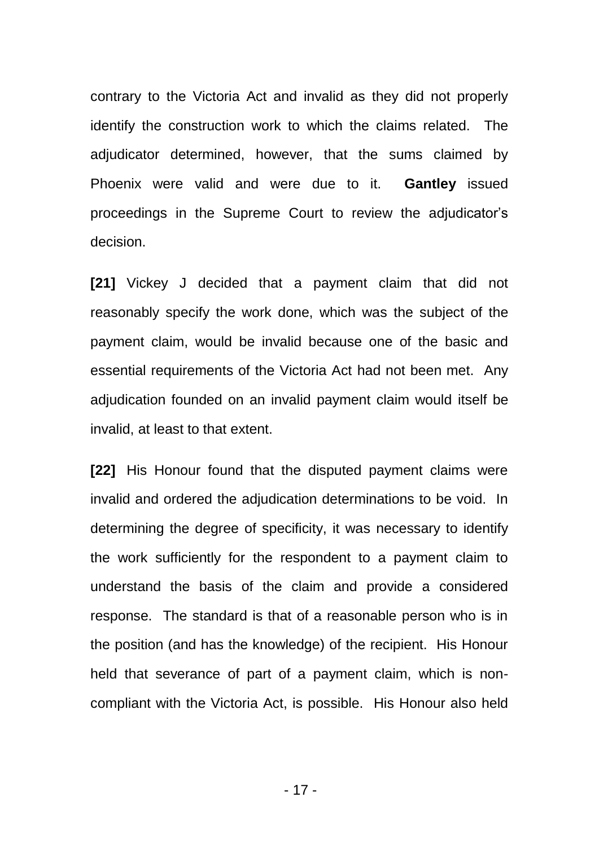contrary to the Victoria Act and invalid as they did not properly identify the construction work to which the claims related. The adjudicator determined, however, that the sums claimed by Phoenix were valid and were due to it. **Gantley** issued proceedings in the Supreme Court to review the adjudicator's decision.

**[21]** Vickey J decided that a payment claim that did not reasonably specify the work done, which was the subject of the payment claim, would be invalid because one of the basic and essential requirements of the Victoria Act had not been met. Any adjudication founded on an invalid payment claim would itself be invalid, at least to that extent.

**[22]** His Honour found that the disputed payment claims were invalid and ordered the adjudication determinations to be void. In determining the degree of specificity, it was necessary to identify the work sufficiently for the respondent to a payment claim to understand the basis of the claim and provide a considered response. The standard is that of a reasonable person who is in the position (and has the knowledge) of the recipient. His Honour held that severance of part of a payment claim, which is noncompliant with the Victoria Act, is possible. His Honour also held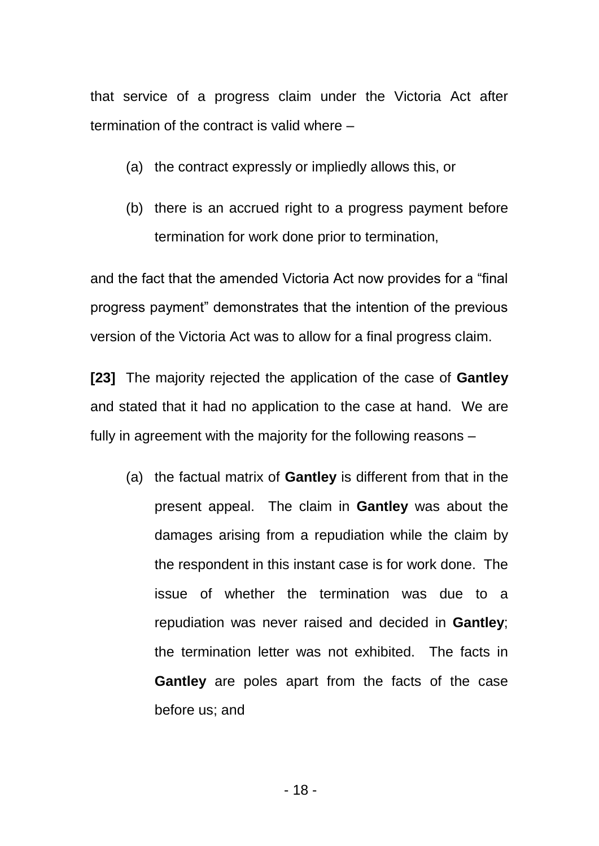that service of a progress claim under the Victoria Act after termination of the contract is valid where –

- (a) the contract expressly or impliedly allows this, or
- (b) there is an accrued right to a progress payment before termination for work done prior to termination,

and the fact that the amended Victoria Act now provides for a "final progress payment" demonstrates that the intention of the previous version of the Victoria Act was to allow for a final progress claim.

**[23]** The majority rejected the application of the case of **Gantley** and stated that it had no application to the case at hand. We are fully in agreement with the majority for the following reasons –

(a) the factual matrix of **Gantley** is different from that in the present appeal. The claim in **Gantley** was about the damages arising from a repudiation while the claim by the respondent in this instant case is for work done. The issue of whether the termination was due to a repudiation was never raised and decided in **Gantley**; the termination letter was not exhibited. The facts in **Gantley** are poles apart from the facts of the case before us; and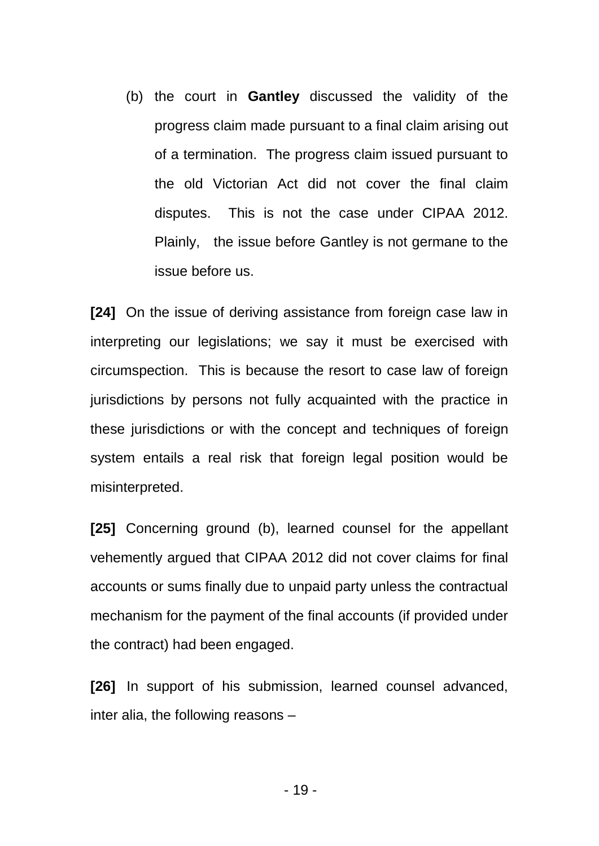(b) the court in **Gantley** discussed the validity of the progress claim made pursuant to a final claim arising out of a termination. The progress claim issued pursuant to the old Victorian Act did not cover the final claim disputes. This is not the case under CIPAA 2012. Plainly, the issue before Gantley is not germane to the issue before us.

**[24]** On the issue of deriving assistance from foreign case law in interpreting our legislations; we say it must be exercised with circumspection. This is because the resort to case law of foreign jurisdictions by persons not fully acquainted with the practice in these jurisdictions or with the concept and techniques of foreign system entails a real risk that foreign legal position would be misinterpreted.

**[25]** Concerning ground (b), learned counsel for the appellant vehemently argued that CIPAA 2012 did not cover claims for final accounts or sums finally due to unpaid party unless the contractual mechanism for the payment of the final accounts (if provided under the contract) had been engaged.

**[26]** In support of his submission, learned counsel advanced, inter alia, the following reasons –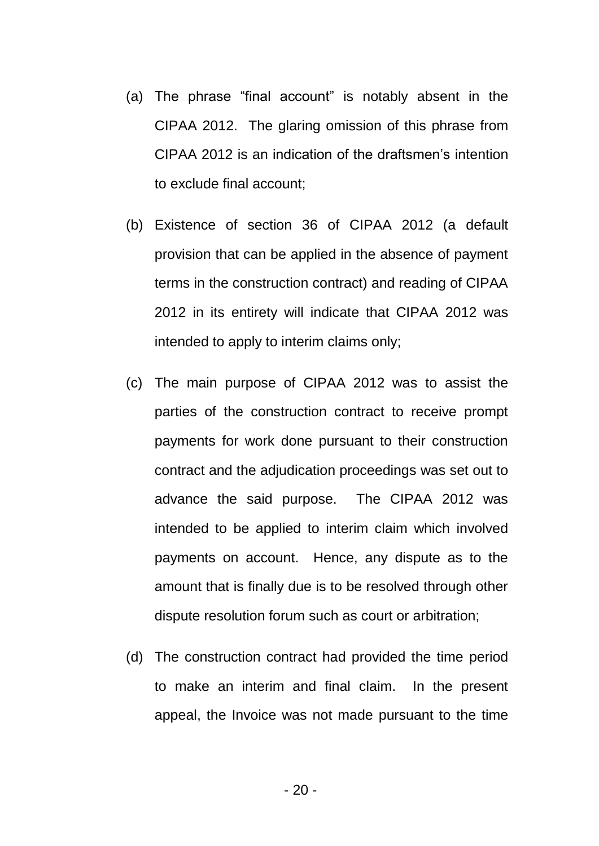- (a) The phrase "final account" is notably absent in the CIPAA 2012. The glaring omission of this phrase from CIPAA 2012 is an indication of the draftsmen's intention to exclude final account;
- (b) Existence of section 36 of CIPAA 2012 (a default provision that can be applied in the absence of payment terms in the construction contract) and reading of CIPAA 2012 in its entirety will indicate that CIPAA 2012 was intended to apply to interim claims only;
- (c) The main purpose of CIPAA 2012 was to assist the parties of the construction contract to receive prompt payments for work done pursuant to their construction contract and the adjudication proceedings was set out to advance the said purpose. The CIPAA 2012 was intended to be applied to interim claim which involved payments on account. Hence, any dispute as to the amount that is finally due is to be resolved through other dispute resolution forum such as court or arbitration;
- (d) The construction contract had provided the time period to make an interim and final claim. In the present appeal, the Invoice was not made pursuant to the time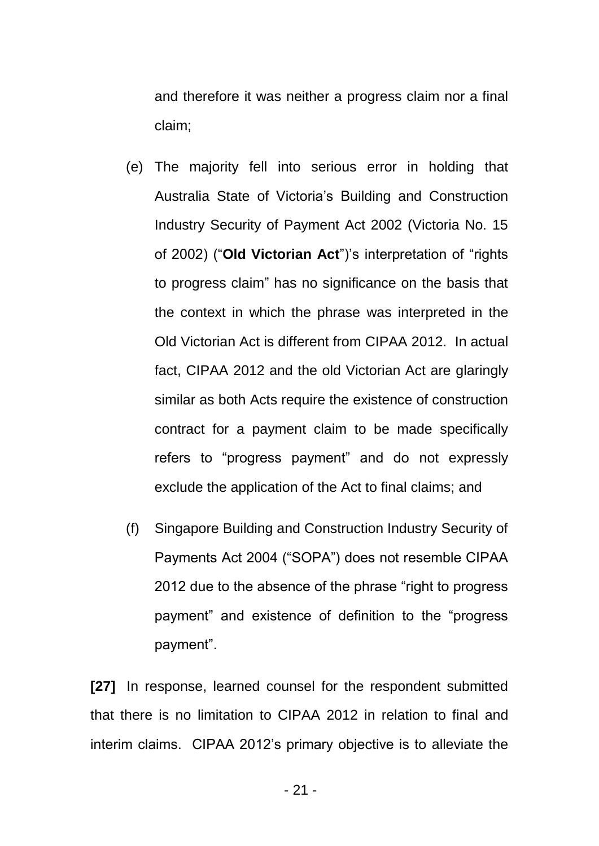and therefore it was neither a progress claim nor a final claim;

- (e) The majority fell into serious error in holding that Australia State of Victoria's Building and Construction Industry Security of Payment Act 2002 (Victoria No. 15 of 2002) ("**Old Victorian Act**")'s interpretation of "rights to progress claim" has no significance on the basis that the context in which the phrase was interpreted in the Old Victorian Act is different from CIPAA 2012. In actual fact, CIPAA 2012 and the old Victorian Act are glaringly similar as both Acts require the existence of construction contract for a payment claim to be made specifically refers to "progress payment" and do not expressly exclude the application of the Act to final claims; and
- (f) Singapore Building and Construction Industry Security of Payments Act 2004 ("SOPA") does not resemble CIPAA 2012 due to the absence of the phrase "right to progress payment" and existence of definition to the "progress payment".

**[27]** In response, learned counsel for the respondent submitted that there is no limitation to CIPAA 2012 in relation to final and interim claims. CIPAA 2012's primary objective is to alleviate the

- 21 -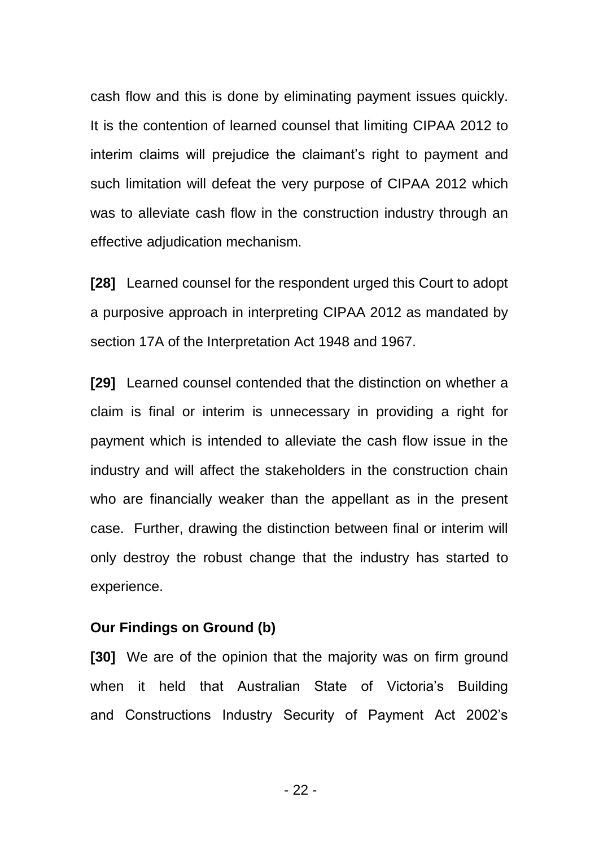cash flow and this is done by eliminating payment issues quickly. It is the contention of learned counsel that limiting CIPAA 2012 to interim claims will prejudice the claimant's right to payment and such limitation will defeat the very purpose of CIPAA 2012 which was to alleviate cash flow in the construction industry through an effective adjudication mechanism.

**[28]** Learned counsel for the respondent urged this Court to adopt a purposive approach in interpreting CIPAA 2012 as mandated by section 17A of the Interpretation Act 1948 and 1967.

**[29]** Learned counsel contended that the distinction on whether a claim is final or interim is unnecessary in providing a right for payment which is intended to alleviate the cash flow issue in the industry and will affect the stakeholders in the construction chain who are financially weaker than the appellant as in the present case. Further, drawing the distinction between final or interim will only destroy the robust change that the industry has started to experience.

#### **Our Findings on Ground (b)**

**[30]** We are of the opinion that the majority was on firm ground when it held that Australian State of Victoria's Building and Constructions Industry Security of Payment Act 2002's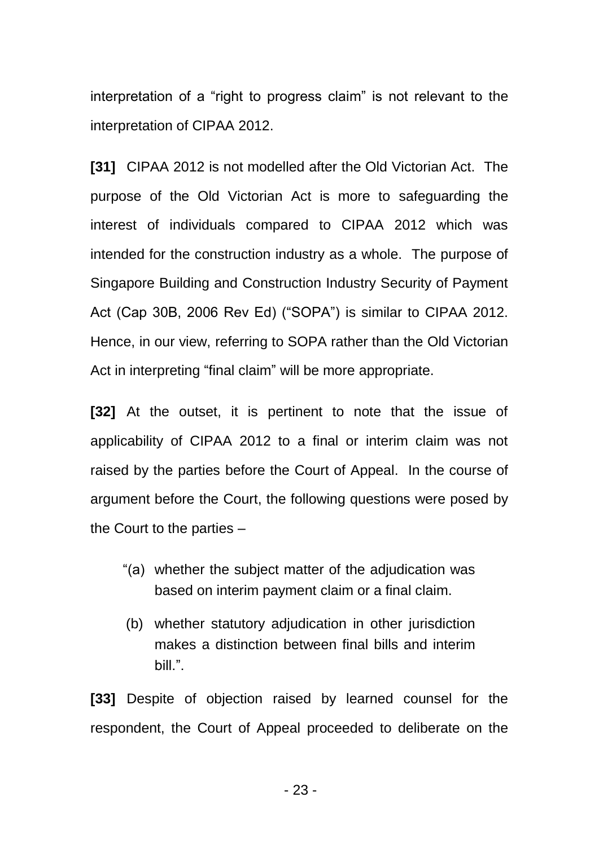interpretation of a "right to progress claim" is not relevant to the interpretation of CIPAA 2012.

**[31]** CIPAA 2012 is not modelled after the Old Victorian Act. The purpose of the Old Victorian Act is more to safeguarding the interest of individuals compared to CIPAA 2012 which was intended for the construction industry as a whole. The purpose of Singapore Building and Construction Industry Security of Payment Act (Cap 30B, 2006 Rev Ed) ("SOPA") is similar to CIPAA 2012. Hence, in our view, referring to SOPA rather than the Old Victorian Act in interpreting "final claim" will be more appropriate.

**[32]** At the outset, it is pertinent to note that the issue of applicability of CIPAA 2012 to a final or interim claim was not raised by the parties before the Court of Appeal. In the course of argument before the Court, the following questions were posed by the Court to the parties –

- "(a) whether the subject matter of the adjudication was based on interim payment claim or a final claim.
- (b) whether statutory adjudication in other jurisdiction makes a distinction between final bills and interim bill.".

**[33]** Despite of objection raised by learned counsel for the respondent, the Court of Appeal proceeded to deliberate on the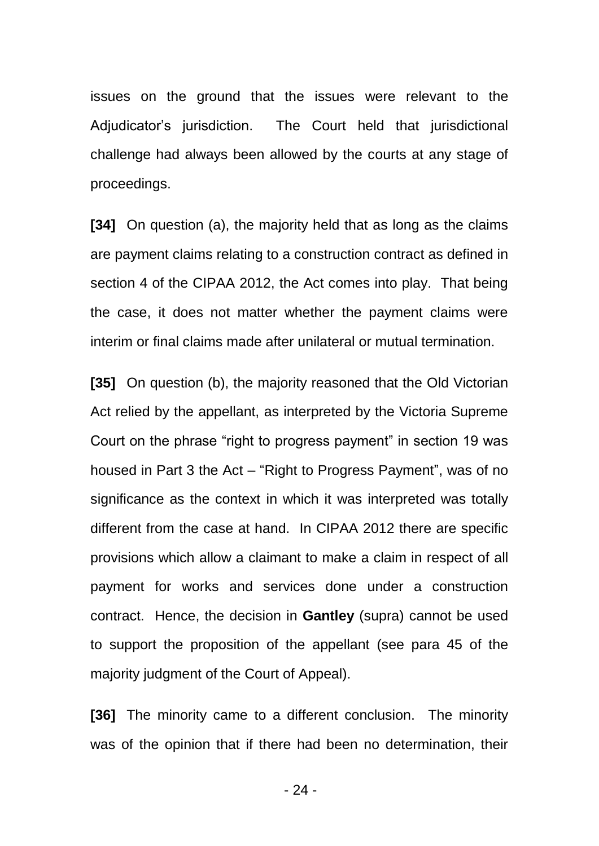issues on the ground that the issues were relevant to the Adjudicator's jurisdiction. The Court held that jurisdictional challenge had always been allowed by the courts at any stage of proceedings.

**[34]** On question (a), the majority held that as long as the claims are payment claims relating to a construction contract as defined in section 4 of the CIPAA 2012, the Act comes into play. That being the case, it does not matter whether the payment claims were interim or final claims made after unilateral or mutual termination.

**[35]** On question (b), the majority reasoned that the Old Victorian Act relied by the appellant, as interpreted by the Victoria Supreme Court on the phrase "right to progress payment" in section 19 was housed in Part 3 the Act – "Right to Progress Payment", was of no significance as the context in which it was interpreted was totally different from the case at hand. In CIPAA 2012 there are specific provisions which allow a claimant to make a claim in respect of all payment for works and services done under a construction contract. Hence, the decision in **Gantley** (supra) cannot be used to support the proposition of the appellant (see para 45 of the majority judgment of the Court of Appeal).

**[36]** The minority came to a different conclusion. The minority was of the opinion that if there had been no determination, their

 $-24-$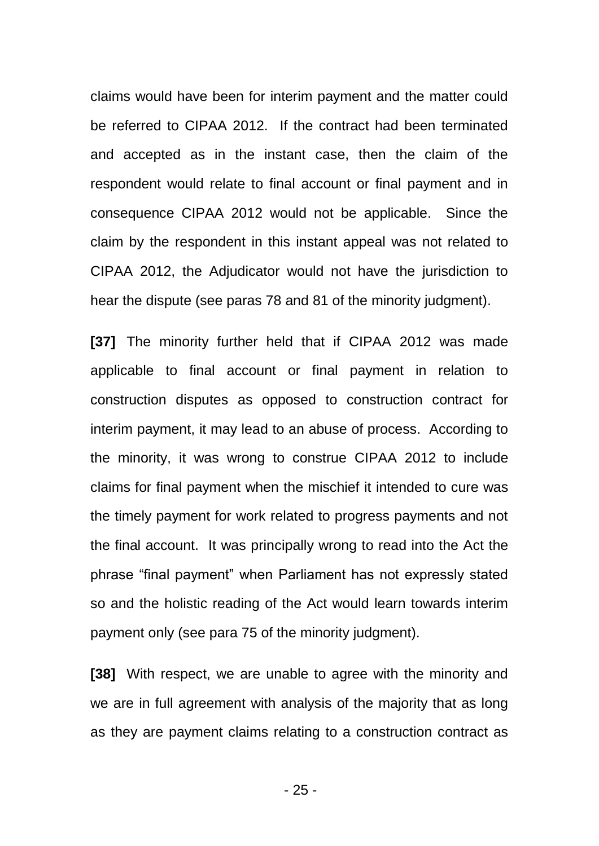claims would have been for interim payment and the matter could be referred to CIPAA 2012. If the contract had been terminated and accepted as in the instant case, then the claim of the respondent would relate to final account or final payment and in consequence CIPAA 2012 would not be applicable. Since the claim by the respondent in this instant appeal was not related to CIPAA 2012, the Adjudicator would not have the jurisdiction to hear the dispute (see paras 78 and 81 of the minority judgment).

**[37]** The minority further held that if CIPAA 2012 was made applicable to final account or final payment in relation to construction disputes as opposed to construction contract for interim payment, it may lead to an abuse of process. According to the minority, it was wrong to construe CIPAA 2012 to include claims for final payment when the mischief it intended to cure was the timely payment for work related to progress payments and not the final account. It was principally wrong to read into the Act the phrase "final payment" when Parliament has not expressly stated so and the holistic reading of the Act would learn towards interim payment only (see para 75 of the minority judgment).

**[38]** With respect, we are unable to agree with the minority and we are in full agreement with analysis of the majority that as long as they are payment claims relating to a construction contract as

- 25 -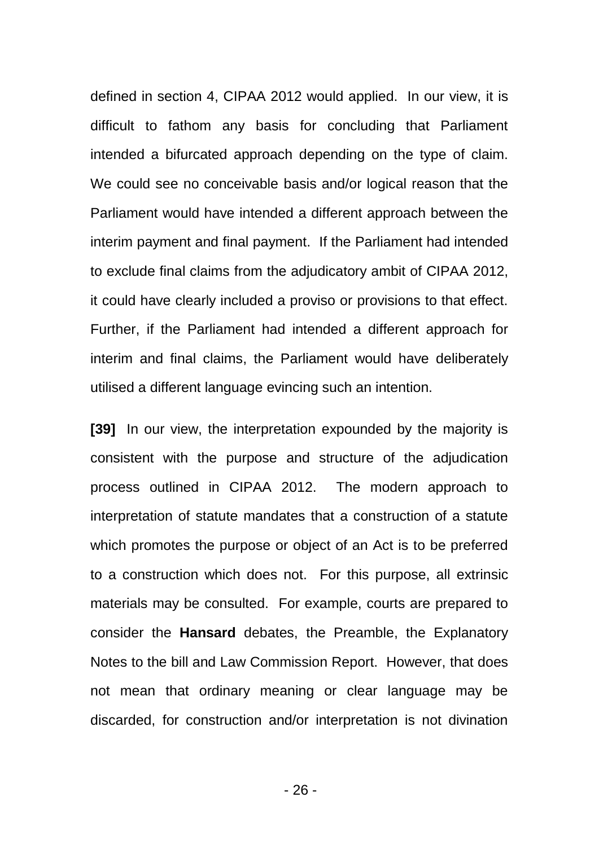defined in section 4, CIPAA 2012 would applied. In our view, it is difficult to fathom any basis for concluding that Parliament intended a bifurcated approach depending on the type of claim. We could see no conceivable basis and/or logical reason that the Parliament would have intended a different approach between the interim payment and final payment. If the Parliament had intended to exclude final claims from the adjudicatory ambit of CIPAA 2012, it could have clearly included a proviso or provisions to that effect. Further, if the Parliament had intended a different approach for interim and final claims, the Parliament would have deliberately utilised a different language evincing such an intention.

**[39]** In our view, the interpretation expounded by the majority is consistent with the purpose and structure of the adjudication process outlined in CIPAA 2012. The modern approach to interpretation of statute mandates that a construction of a statute which promotes the purpose or object of an Act is to be preferred to a construction which does not. For this purpose, all extrinsic materials may be consulted. For example, courts are prepared to consider the **Hansard** debates, the Preamble, the Explanatory Notes to the bill and Law Commission Report. However, that does not mean that ordinary meaning or clear language may be discarded, for construction and/or interpretation is not divination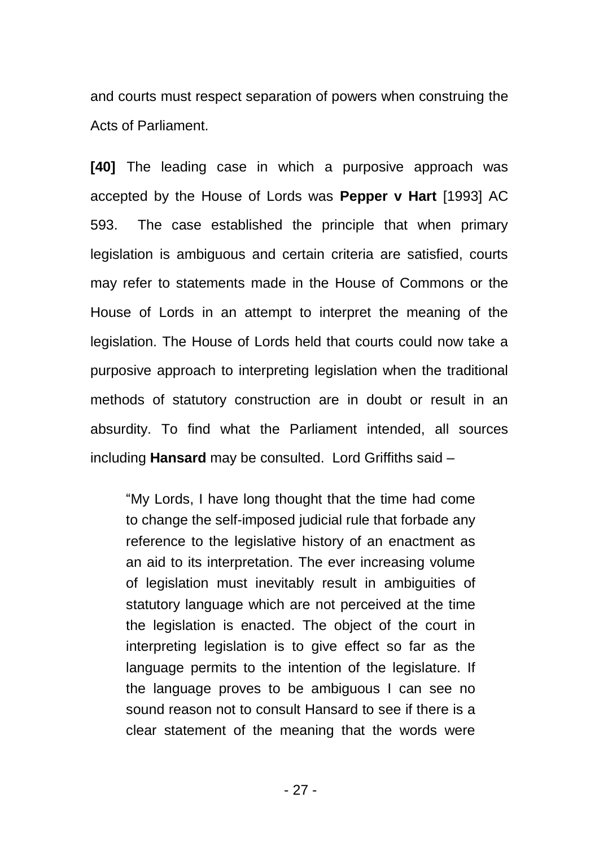and courts must respect separation of powers when construing the Acts of Parliament.

**[40]** The leading case in which a purposive approach was accepted by the House of Lords was **Pepper v Hart** [1993] AC 593. The case established the principle that when primary legislation is ambiguous and certain criteria are satisfied, courts may refer to statements made in the House of Commons or the House of Lords in an attempt to interpret the meaning of the legislation. The House of Lords held that courts could now take a purposive approach to interpreting legislation when the traditional methods of statutory construction are in doubt or result in an absurdity. To find what the Parliament intended, all sources including **Hansard** may be consulted. Lord Griffiths said –

"My Lords, I have long thought that the time had come to change the self-imposed judicial rule that forbade any reference to the legislative history of an enactment as an aid to its interpretation. The ever increasing volume of legislation must inevitably result in ambiguities of statutory language which are not perceived at the time the legislation is enacted. The object of the court in interpreting legislation is to give effect so far as the language permits to the intention of the legislature. If the language proves to be ambiguous I can see no sound reason not to consult Hansard to see if there is a clear statement of the meaning that the words were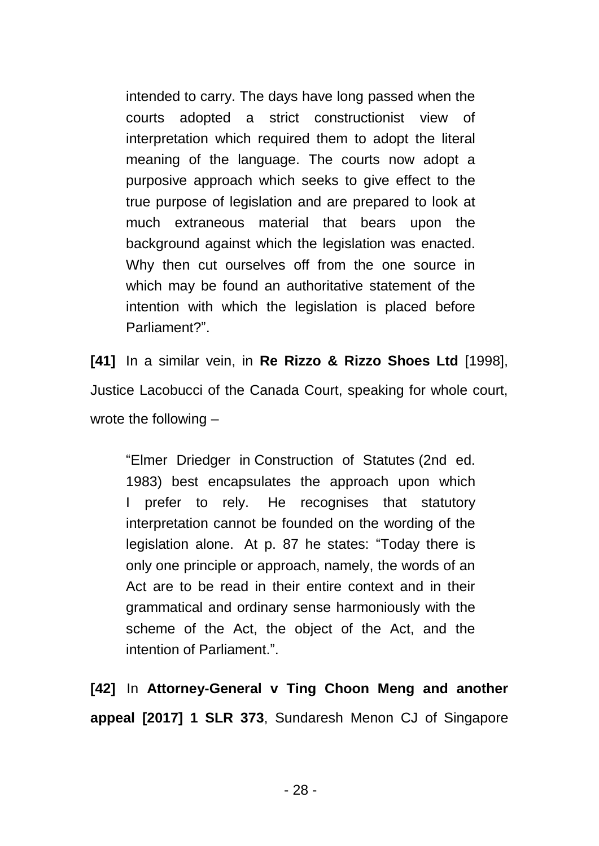intended to carry. The days have long passed when the courts adopted a strict constructionist view of interpretation which required them to adopt the literal meaning of the language. The courts now adopt a purposive approach which seeks to give effect to the true purpose of legislation and are prepared to look at much extraneous material that bears upon the background against which the legislation was enacted. Why then cut ourselves off from the one source in which may be found an authoritative statement of the intention with which the legislation is placed before Parliament?".

**[41]** In a similar vein, in **Re Rizzo & Rizzo Shoes Ltd** [1998], Justice Lacobucci of the Canada Court, speaking for whole court, wrote the following –

"Elmer Driedger in Construction of Statutes (2nd ed. 1983) best encapsulates the approach upon which I prefer to rely. He recognises that statutory interpretation cannot be founded on the wording of the legislation alone. At p. 87 he states: "Today there is only one principle or approach, namely, the words of an Act are to be read in their entire context and in their grammatical and ordinary sense harmoniously with the scheme of the Act, the object of the Act, and the intention of Parliament.".

**[42]** In **Attorney-General v Ting Choon Meng and another appeal [2017] 1 SLR 373**, Sundaresh Menon CJ of Singapore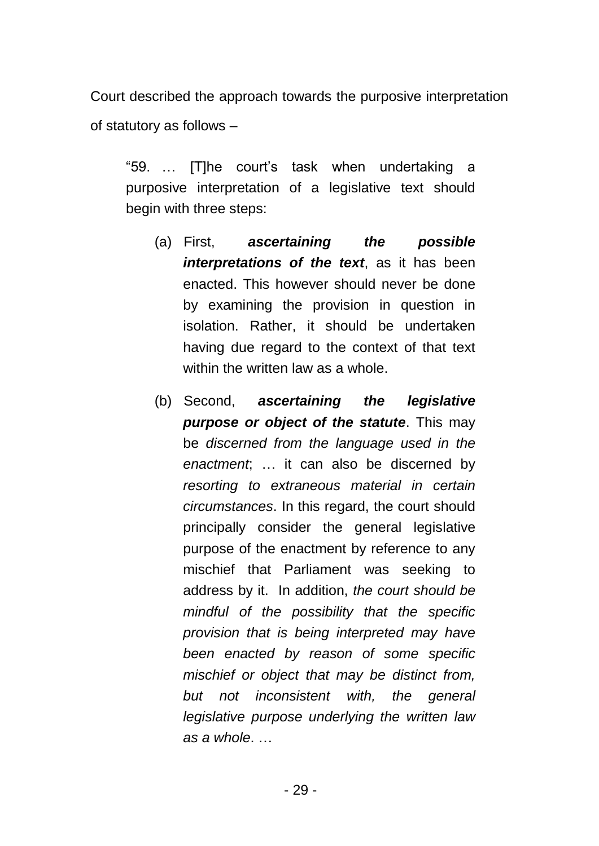Court described the approach towards the purposive interpretation of statutory as follows –

"59. … [T]he court's task when undertaking a purposive interpretation of a legislative text should begin with three steps:

- (a) First, *ascertaining the possible interpretations of the text*, as it has been enacted. This however should never be done by examining the provision in question in isolation. Rather, it should be undertaken having due regard to the context of that text within the written law as a whole.
- (b) Second, *ascertaining the legislative purpose or object of the statute*. This may be *discerned from the language used in the enactment*; … it can also be discerned by *resorting to extraneous material in certain circumstances*. In this regard, the court should principally consider the general legislative purpose of the enactment by reference to any mischief that Parliament was seeking to address by it. In addition, *the court should be mindful of the possibility that the specific provision that is being interpreted may have been enacted by reason of some specific mischief or object that may be distinct from, but not inconsistent with, the general legislative purpose underlying the written law as a whole*. …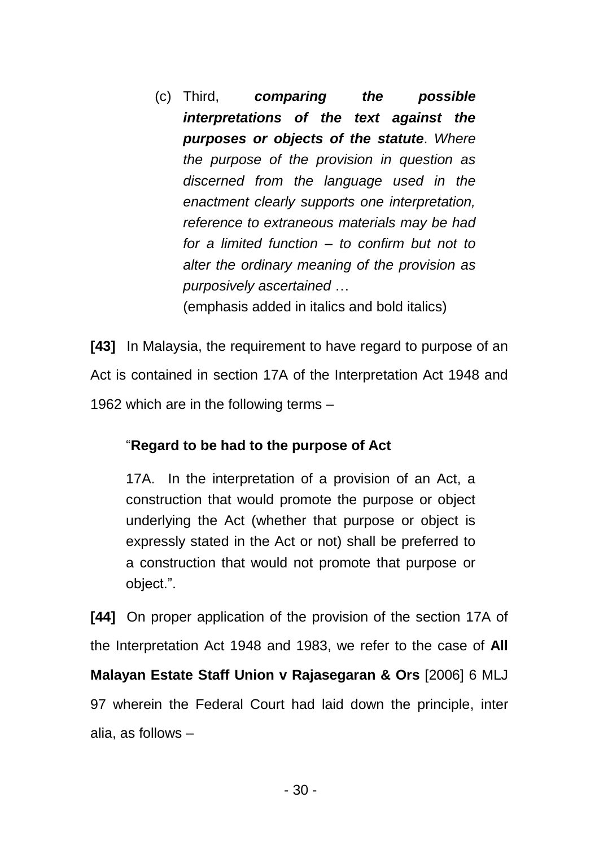(c) Third, *comparing the possible interpretations of the text against the purposes or objects of the statute*. *Where the purpose of the provision in question as discerned from the language used in the enactment clearly supports one interpretation, reference to extraneous materials may be had for a limited function – to confirm but not to alter the ordinary meaning of the provision as purposively ascertained* … (emphasis added in italics and bold italics)

**[43]** In Malaysia, the requirement to have regard to purpose of an Act is contained in section 17A of the Interpretation Act 1948 and 1962 which are in the following terms –

# "**Regard to be had to the purpose of Act**

17A. In the interpretation of a provision of an Act, a construction that would promote the purpose or object underlying the Act (whether that purpose or object is expressly stated in the Act or not) shall be preferred to a construction that would not promote that purpose or object.".

**[44]** On proper application of the provision of the section 17A of the Interpretation Act 1948 and 1983, we refer to the case of **All Malayan Estate Staff Union v Rajasegaran & Ors** [2006] 6 MLJ 97 wherein the Federal Court had laid down the principle, inter alia, as follows –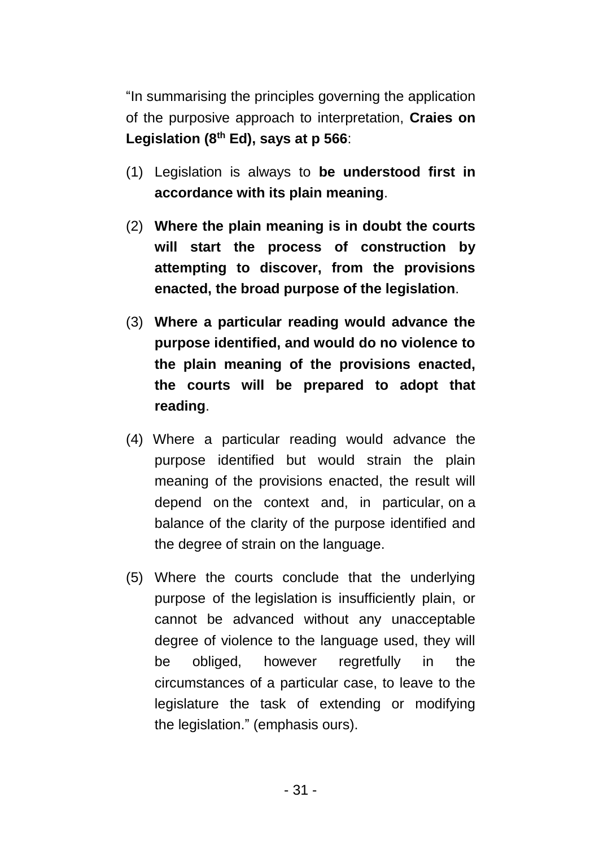"In summarising the principles governing the application of the purposive approach to interpretation, **Craies on Legislation (8th Ed), says at p 566**:

- (1) Legislation is always to **be understood first in accordance with its plain meaning**.
- (2) **Where the plain meaning is in doubt the courts will start the process of construction by attempting to discover, from the provisions enacted, the broad purpose of the legislation**.
- (3) **Where a particular reading would advance the purpose identified, and would do no violence to the plain meaning of the provisions enacted, the courts will be prepared to adopt that reading**.
- (4) Where a particular reading would advance the purpose identified but would strain the plain meaning of the provisions enacted, the result will depend on the context and, in particular, on a balance of the clarity of the purpose identified and the degree of strain on the language.
- (5) Where the courts conclude that the underlying purpose of the legislation is insufficiently plain, or cannot be advanced without any unacceptable degree of violence to the language used, they will be obliged, however regretfully in the circumstances of a particular case, to leave to the legislature the task of extending or modifying the legislation." (emphasis ours).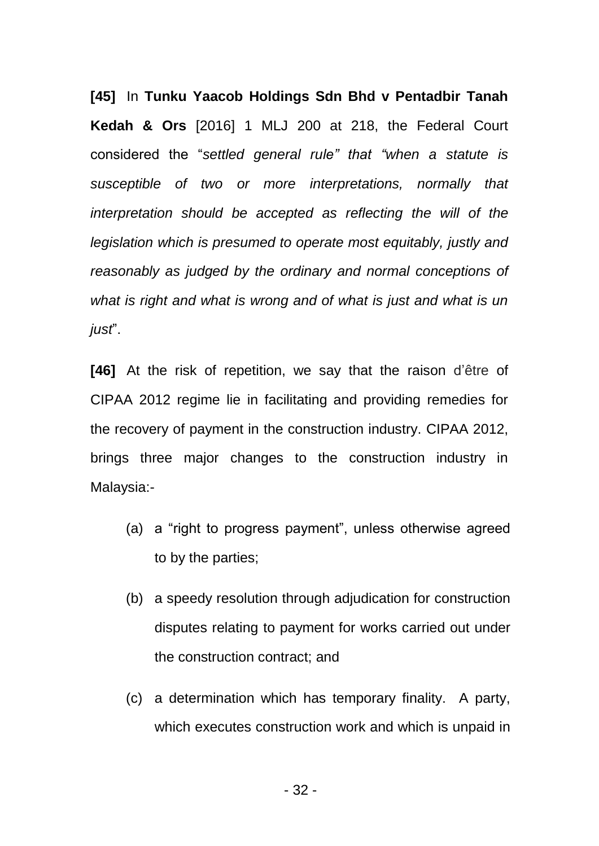**[45]** In **Tunku Yaacob Holdings Sdn Bhd v Pentadbir Tanah Kedah & Ors** [2016] 1 MLJ 200 at 218, the Federal Court considered the "*settled general rule" that "when a statute is susceptible of two or more interpretations, normally that interpretation should be accepted as reflecting the will of the legislation which is presumed to operate most equitably, justly and reasonably as judged by the ordinary and normal conceptions of what is right and what is wrong and of what is just and what is un just*".

**[46]** At the risk of repetition, we say that the raison d'être of CIPAA 2012 regime lie in facilitating and providing remedies for the recovery of payment in the construction industry. CIPAA 2012, brings three major changes to the construction industry in Malaysia:-

- (a) a "right to progress payment", unless otherwise agreed to by the parties;
- (b) a speedy resolution through adjudication for construction disputes relating to payment for works carried out under the construction contract; and
- (c) a determination which has temporary finality. A party, which executes construction work and which is unpaid in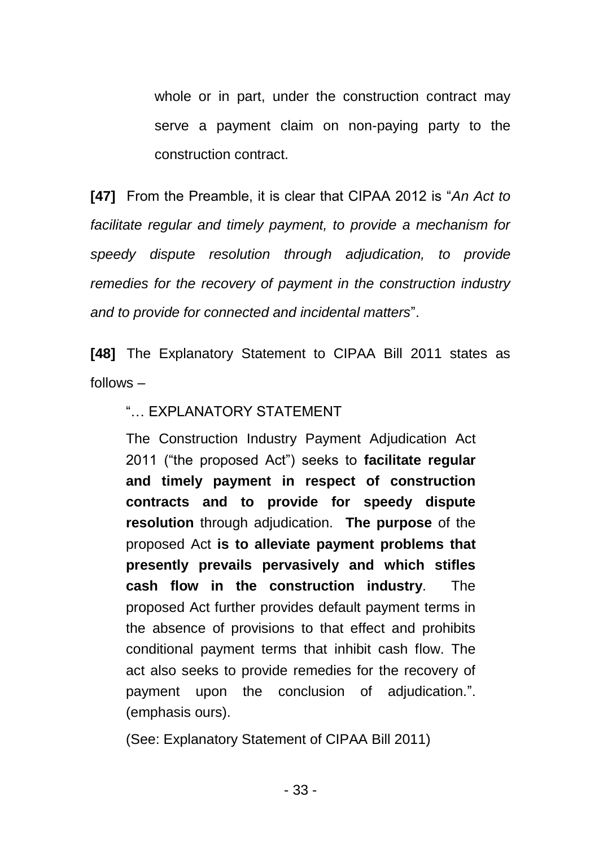whole or in part, under the construction contract may serve a payment claim on non-paying party to the construction contract.

**[47]** From the Preamble, it is clear that CIPAA 2012 is "*An Act to facilitate regular and timely payment, to provide a mechanism for speedy dispute resolution through adjudication, to provide remedies for the recovery of payment in the construction industry and to provide for connected and incidental matters*".

**[48]** The Explanatory Statement to CIPAA Bill 2011 states as follows –

# "… EXPLANATORY STATEMENT

The Construction Industry Payment Adjudication Act 2011 ("the proposed Act") seeks to **facilitate regular and timely payment in respect of construction contracts and to provide for speedy dispute resolution** through adjudication. **The purpose** of the proposed Act **is to alleviate payment problems that presently prevails pervasively and which stifles cash flow in the construction industry**. The proposed Act further provides default payment terms in the absence of provisions to that effect and prohibits conditional payment terms that inhibit cash flow. The act also seeks to provide remedies for the recovery of payment upon the conclusion of adjudication.". (emphasis ours).

(See: Explanatory Statement of CIPAA Bill 2011)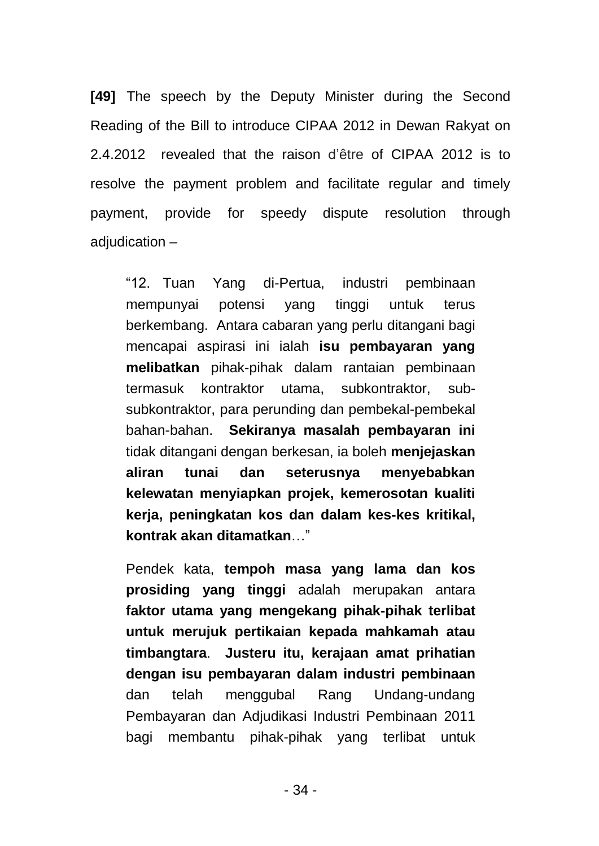**[49]** The speech by the Deputy Minister during the Second Reading of the Bill to introduce CIPAA 2012 in Dewan Rakyat on 2.4.2012 revealed that the raison d'être of CIPAA 2012 is to resolve the payment problem and facilitate regular and timely payment, provide for speedy dispute resolution through adjudication –

"12. Tuan Yang di-Pertua, industri pembinaan mempunyai potensi yang tinggi untuk terus berkembang. Antara cabaran yang perlu ditangani bagi mencapai aspirasi ini ialah **isu pembayaran yang melibatkan** pihak-pihak dalam rantaian pembinaan termasuk kontraktor utama, subkontraktor, subsubkontraktor, para perunding dan pembekal-pembekal bahan-bahan. **Sekiranya masalah pembayaran ini** tidak ditangani dengan berkesan, ia boleh **menjejaskan aliran tunai dan seterusnya menyebabkan kelewatan menyiapkan projek, kemerosotan kualiti kerja, peningkatan kos dan dalam kes-kes kritikal, kontrak akan ditamatkan**…"

Pendek kata, **tempoh masa yang lama dan kos prosiding yang tinggi** adalah merupakan antara **faktor utama yang mengekang pihak-pihak terlibat untuk merujuk pertikaian kepada mahkamah atau timbangtara**. **Justeru itu, kerajaan amat prihatian dengan isu pembayaran dalam industri pembinaan** dan telah menggubal Rang Undang-undang Pembayaran dan Adjudikasi Industri Pembinaan 2011 bagi membantu pihak-pihak yang terlibat untuk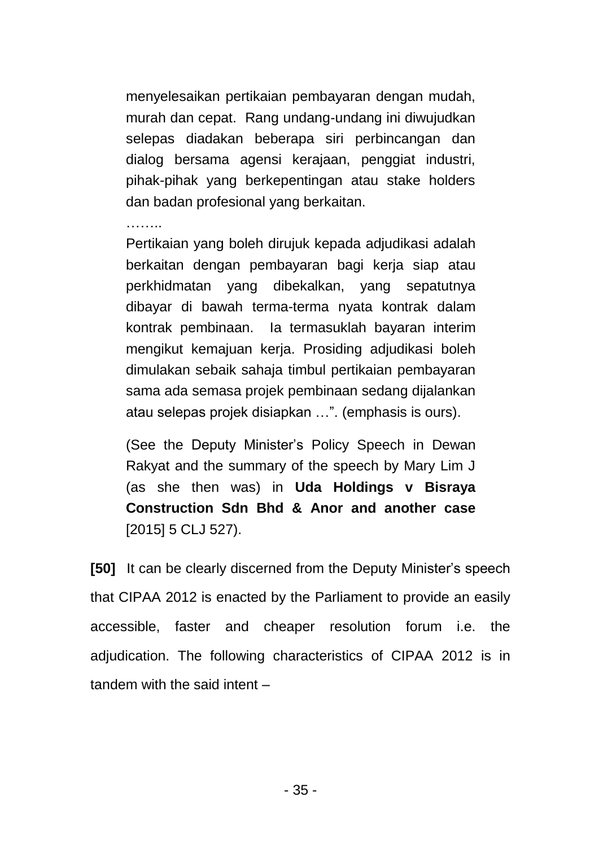menyelesaikan pertikaian pembayaran dengan mudah, murah dan cepat. Rang undang-undang ini diwujudkan selepas diadakan beberapa siri perbincangan dan dialog bersama agensi kerajaan, penggiat industri, pihak-pihak yang berkepentingan atau stake holders dan badan profesional yang berkaitan.

………

Pertikaian yang boleh dirujuk kepada adjudikasi adalah berkaitan dengan pembayaran bagi kerja siap atau perkhidmatan yang dibekalkan, yang sepatutnya dibayar di bawah terma-terma nyata kontrak dalam kontrak pembinaan. Ia termasuklah bayaran interim mengikut kemajuan kerja. Prosiding adjudikasi boleh dimulakan sebaik sahaja timbul pertikaian pembayaran sama ada semasa projek pembinaan sedang dijalankan atau selepas projek disiapkan …". (emphasis is ours).

(See the Deputy Minister's Policy Speech in Dewan Rakyat and the summary of the speech by Mary Lim J (as she then was) in **Uda Holdings v Bisraya Construction Sdn Bhd & Anor and another case** [2015] 5 CLJ 527).

**[50]** It can be clearly discerned from the Deputy Minister's speech that CIPAA 2012 is enacted by the Parliament to provide an easily accessible, faster and cheaper resolution forum i.e. the adjudication. The following characteristics of CIPAA 2012 is in tandem with the said intent –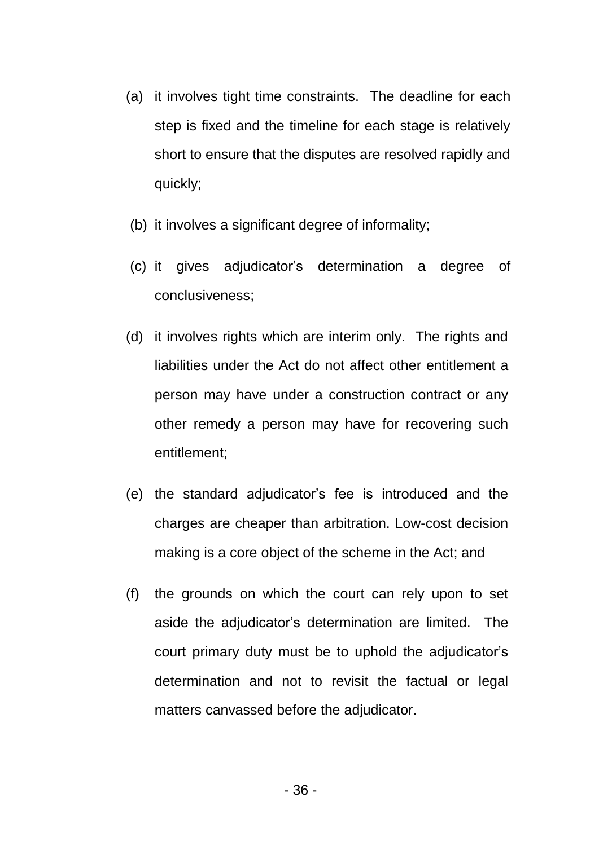- (a) it involves tight time constraints. The deadline for each step is fixed and the timeline for each stage is relatively short to ensure that the disputes are resolved rapidly and quickly;
- (b) it involves a significant degree of informality;
- (c) it gives adjudicator's determination a degree of conclusiveness;
- (d) it involves rights which are interim only. The rights and liabilities under the Act do not affect other entitlement a person may have under a construction contract or any other remedy a person may have for recovering such entitlement;
- (e) the standard adjudicator's fee is introduced and the charges are cheaper than arbitration. Low-cost decision making is a core object of the scheme in the Act; and
- (f) the grounds on which the court can rely upon to set aside the adjudicator's determination are limited. The court primary duty must be to uphold the adjudicator's determination and not to revisit the factual or legal matters canvassed before the adjudicator.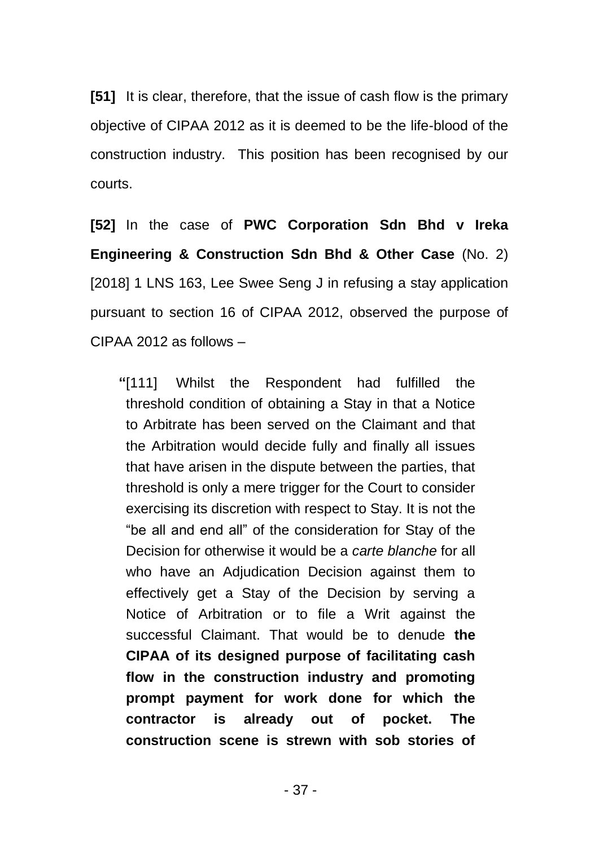**[51]** It is clear, therefore, that the issue of cash flow is the primary objective of CIPAA 2012 as it is deemed to be the life-blood of the construction industry. This position has been recognised by our courts.

**[52]** In the case of **PWC Corporation Sdn Bhd v Ireka Engineering & Construction Sdn Bhd & Other Case** (No. 2) [2018] 1 LNS 163, Lee Swee Seng J in refusing a stay application pursuant to section 16 of CIPAA 2012, observed the purpose of CIPAA 2012 as follows –

**"**[111] Whilst the Respondent had fulfilled the threshold condition of obtaining a Stay in that a Notice to Arbitrate has been served on the Claimant and that the Arbitration would decide fully and finally all issues that have arisen in the dispute between the parties, that threshold is only a mere trigger for the Court to consider exercising its discretion with respect to Stay. It is not the "be all and end all" of the consideration for Stay of the Decision for otherwise it would be a *carte blanche* for all who have an Adjudication Decision against them to effectively get a Stay of the Decision by serving a Notice of Arbitration or to file a Writ against the successful Claimant. That would be to denude **the CIPAA of its designed purpose of facilitating cash flow in the construction industry and promoting prompt payment for work done for which the contractor is already out of pocket. The construction scene is strewn with sob stories of**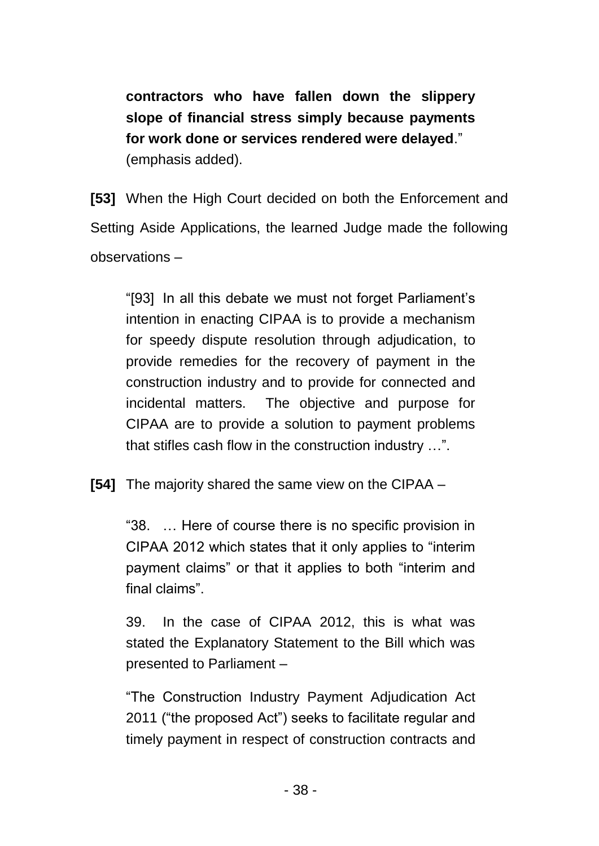**contractors who have fallen down the slippery slope of financial stress simply because payments for work done or services rendered were delayed**." (emphasis added).

**[53]** When the High Court decided on both the Enforcement and Setting Aside Applications, the learned Judge made the following observations –

"[93] In all this debate we must not forget Parliament's intention in enacting CIPAA is to provide a mechanism for speedy dispute resolution through adjudication, to provide remedies for the recovery of payment in the construction industry and to provide for connected and incidental matters. The objective and purpose for CIPAA are to provide a solution to payment problems that stifles cash flow in the construction industry …".

**[54]** The majority shared the same view on the CIPAA –

"38. … Here of course there is no specific provision in CIPAA 2012 which states that it only applies to "interim payment claims" or that it applies to both "interim and final claims".

39. In the case of CIPAA 2012, this is what was stated the Explanatory Statement to the Bill which was presented to Parliament –

"The Construction Industry Payment Adjudication Act 2011 ("the proposed Act") seeks to facilitate regular and timely payment in respect of construction contracts and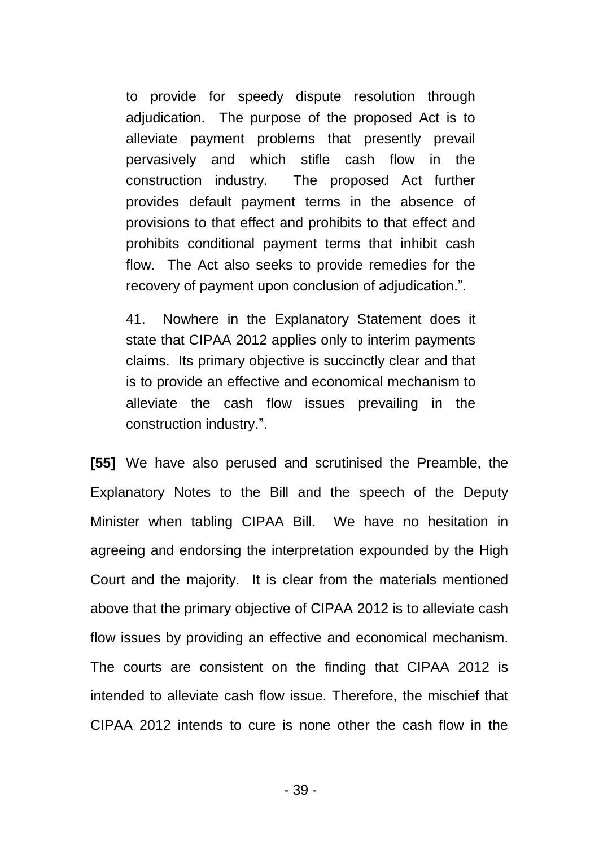to provide for speedy dispute resolution through adjudication. The purpose of the proposed Act is to alleviate payment problems that presently prevail pervasively and which stifle cash flow in the construction industry. The proposed Act further provides default payment terms in the absence of provisions to that effect and prohibits to that effect and prohibits conditional payment terms that inhibit cash flow. The Act also seeks to provide remedies for the recovery of payment upon conclusion of adjudication.".

41. Nowhere in the Explanatory Statement does it state that CIPAA 2012 applies only to interim payments claims. Its primary objective is succinctly clear and that is to provide an effective and economical mechanism to alleviate the cash flow issues prevailing in the construction industry.".

**[55]** We have also perused and scrutinised the Preamble, the Explanatory Notes to the Bill and the speech of the Deputy Minister when tabling CIPAA Bill. We have no hesitation in agreeing and endorsing the interpretation expounded by the High Court and the majority. It is clear from the materials mentioned above that the primary objective of CIPAA 2012 is to alleviate cash flow issues by providing an effective and economical mechanism. The courts are consistent on the finding that CIPAA 2012 is intended to alleviate cash flow issue. Therefore, the mischief that CIPAA 2012 intends to cure is none other the cash flow in the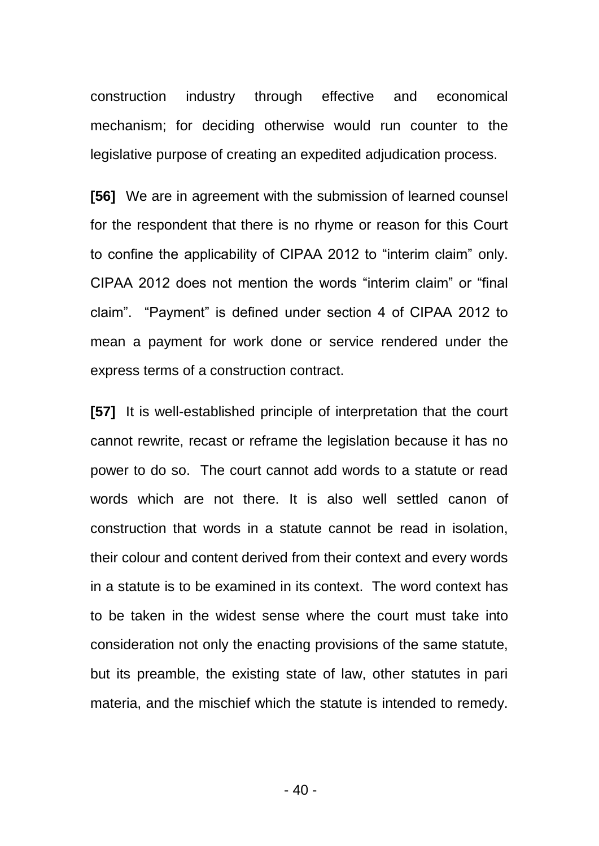construction industry through effective and economical mechanism; for deciding otherwise would run counter to the legislative purpose of creating an expedited adjudication process.

**[56]** We are in agreement with the submission of learned counsel for the respondent that there is no rhyme or reason for this Court to confine the applicability of CIPAA 2012 to "interim claim" only. CIPAA 2012 does not mention the words "interim claim" or "final claim". "Payment" is defined under section 4 of CIPAA 2012 to mean a payment for work done or service rendered under the express terms of a construction contract.

**[57]** It is well-established principle of interpretation that the court cannot rewrite, recast or reframe the legislation because it has no power to do so. The court cannot add words to a statute or read words which are not there. It is also well settled canon of construction that words in a statute cannot be read in isolation, their colour and content derived from their context and every words in a statute is to be examined in its context. The word context has to be taken in the widest sense where the court must take into consideration not only the enacting provisions of the same statute, but its preamble, the existing state of law, other statutes in pari materia, and the mischief which the statute is intended to remedy.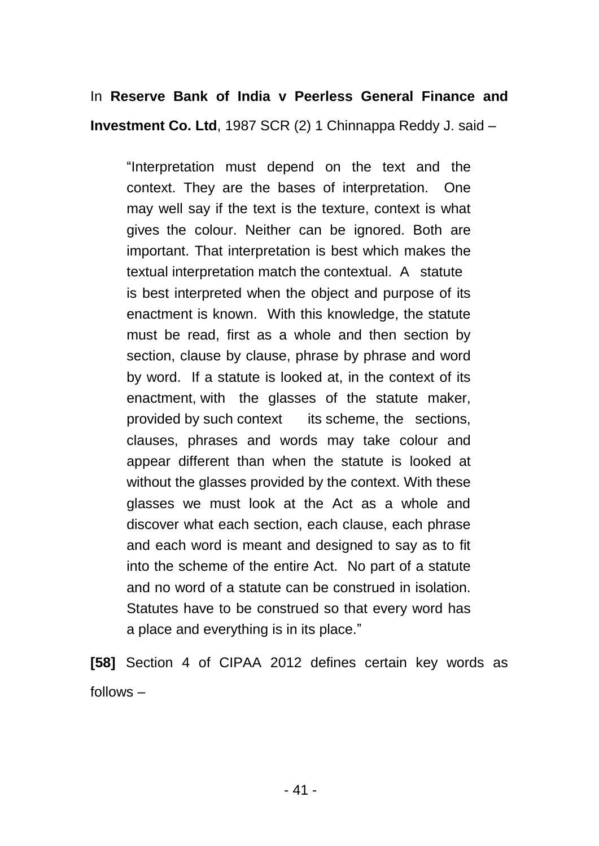# In **Reserve Bank of India v Peerless General Finance and Investment Co. Ltd**, 1987 SCR (2) 1 Chinnappa Reddy J. said –

"Interpretation must depend on the text and the context. They are the bases of interpretation. One may well say if the text is the texture, context is what gives the colour. Neither can be ignored. Both are important. That interpretation is best which makes the textual interpretation match the contextual. A statute is best interpreted when the object and purpose of its enactment is known. With this knowledge, the statute must be read, first as a whole and then section by section, clause by clause, phrase by phrase and word by word. If a statute is looked at, in the context of its enactment, with the glasses of the statute maker, provided by such context its scheme, the sections, clauses, phrases and words may take colour and appear different than when the statute is looked at without the glasses provided by the context. With these glasses we must look at the Act as a whole and discover what each section, each clause, each phrase and each word is meant and designed to say as to fit into the scheme of the entire Act. No part of a statute and no word of a statute can be construed in isolation. Statutes have to be construed so that every word has a place and everything is in its place."

**[58]** Section 4 of CIPAA 2012 defines certain key words as follows –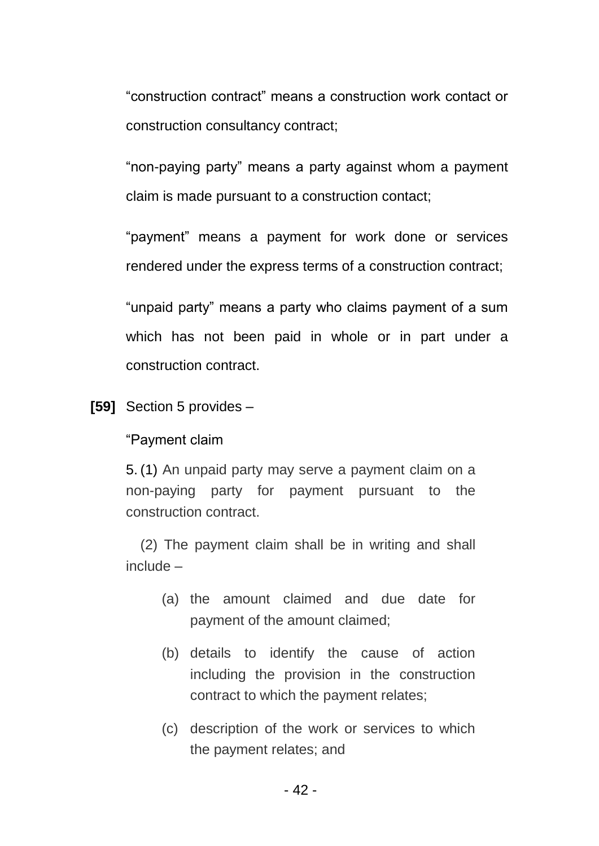"construction contract" means a construction work contact or construction consultancy contract;

"non-paying party" means a party against whom a payment claim is made pursuant to a construction contact;

"payment" means a payment for work done or services rendered under the express terms of a construction contract;

"unpaid party" means a party who claims payment of a sum which has not been paid in whole or in part under a construction contract.

**[59]** Section 5 provides –

"Payment claim

5. (1) An unpaid party may serve a payment claim on a non-paying party for payment pursuant to the construction contract.

(2) The payment claim shall be in writing and shall include –

- (a) the amount claimed and due date for payment of the amount claimed;
- (b) details to identify the cause of action including the provision in the construction contract to which the payment relates;
- (c) description of the work or services to which the payment relates; and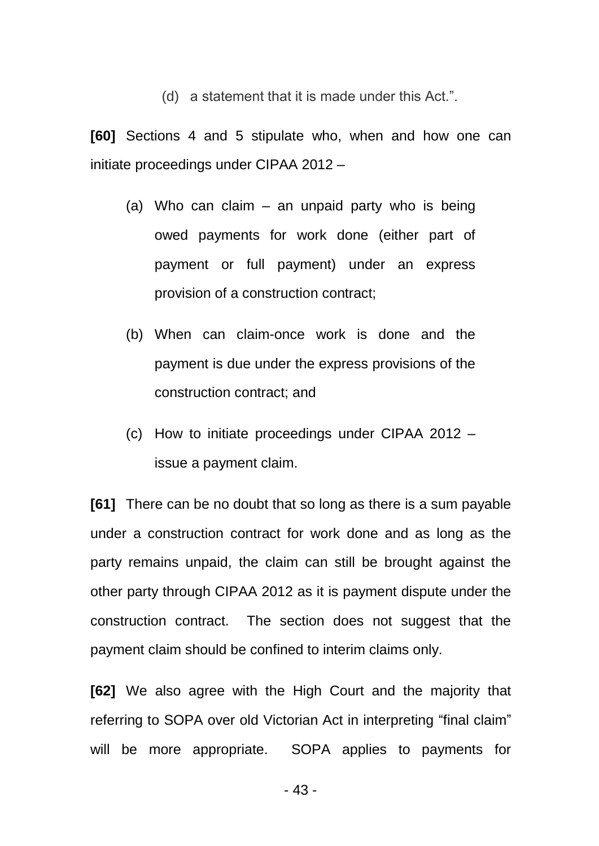(d) a statement that it is made under this Act.".

**[60]** Sections 4 and 5 stipulate who, when and how one can initiate proceedings under CIPAA 2012 –

- (a) Who can claim an unpaid party who is being owed payments for work done (either part of payment or full payment) under an express provision of a construction contract;
- (b) When can claim-once work is done and the payment is due under the express provisions of the construction contract; and
- (c) How to initiate proceedings under CIPAA 2012 issue a payment claim.

**[61]** There can be no doubt that so long as there is a sum payable under a construction contract for work done and as long as the party remains unpaid, the claim can still be brought against the other party through CIPAA 2012 as it is payment dispute under the construction contract. The section does not suggest that the payment claim should be confined to interim claims only.

**[62]** We also agree with the High Court and the majority that referring to SOPA over old Victorian Act in interpreting "final claim" will be more appropriate. SOPA applies to payments for

- 43 -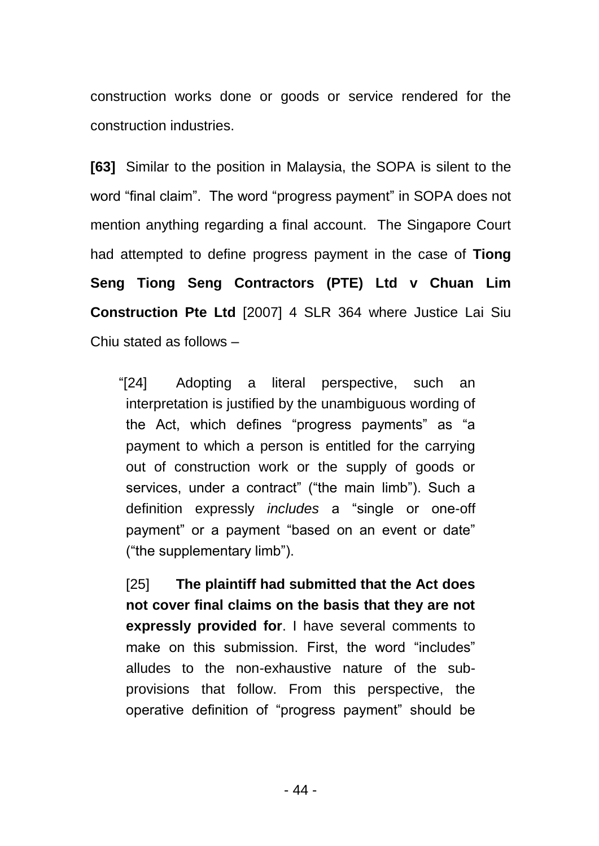construction works done or goods or service rendered for the construction industries.

**[63]** Similar to the position in Malaysia, the SOPA is silent to the word "final claim". The word "progress payment" in SOPA does not mention anything regarding a final account. The Singapore Court had attempted to define progress payment in the case of **Tiong Seng Tiong Seng Contractors (PTE) Ltd v Chuan Lim Construction Pte Ltd** [2007] 4 SLR 364 where Justice Lai Siu Chiu stated as follows –

"[24] Adopting a literal perspective, such an interpretation is justified by the unambiguous wording of the Act, which defines "progress payments" as "a payment to which a person is entitled for the carrying out of construction work or the supply of goods or services, under a contract" ("the main limb"). Such a definition expressly *includes* a "single or one-off payment" or a payment "based on an event or date" ("the supplementary limb").

[25] **The plaintiff had submitted that the Act does not cover final claims on the basis that they are not expressly provided for**. I have several comments to make on this submission. First, the word "includes" alludes to the non-exhaustive nature of the subprovisions that follow. From this perspective, the operative definition of "progress payment" should be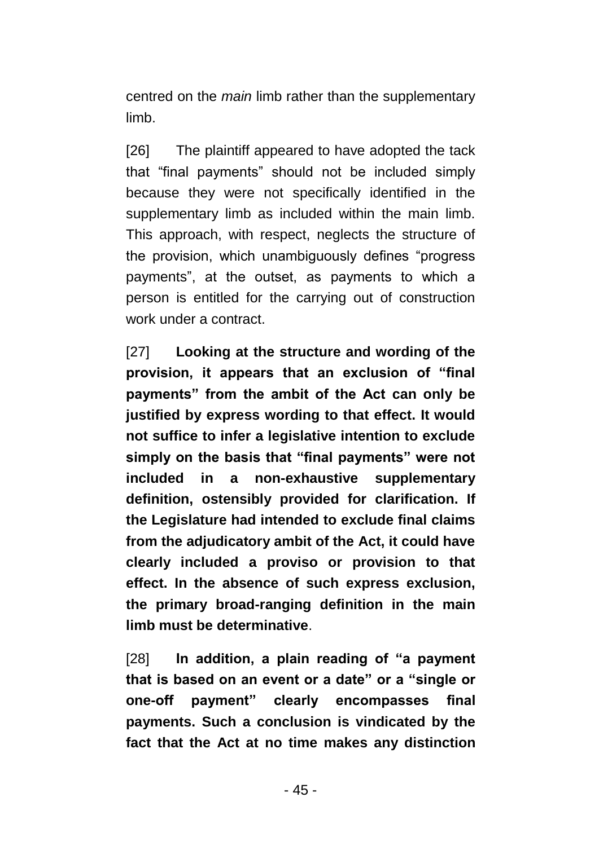centred on the *main* limb rather than the supplementary limb.

[26] The plaintiff appeared to have adopted the tack that "final payments" should not be included simply because they were not specifically identified in the supplementary limb as included within the main limb. This approach, with respect, neglects the structure of the provision, which unambiguously defines "progress payments", at the outset, as payments to which a person is entitled for the carrying out of construction work under a contract.

[27] **Looking at the structure and wording of the provision, it appears that an exclusion of "final payments" from the ambit of the Act can only be justified by express wording to that effect. It would not suffice to infer a legislative intention to exclude simply on the basis that "final payments" were not included in a non-exhaustive supplementary definition, ostensibly provided for clarification. If the Legislature had intended to exclude final claims from the adjudicatory ambit of the Act, it could have clearly included a proviso or provision to that effect. In the absence of such express exclusion, the primary broad-ranging definition in the main limb must be determinative**.

[28] **In addition, a plain reading of "a payment that is based on an event or a date" or a "single or one-off payment" clearly encompasses final payments. Such a conclusion is vindicated by the fact that the Act at no time makes any distinction**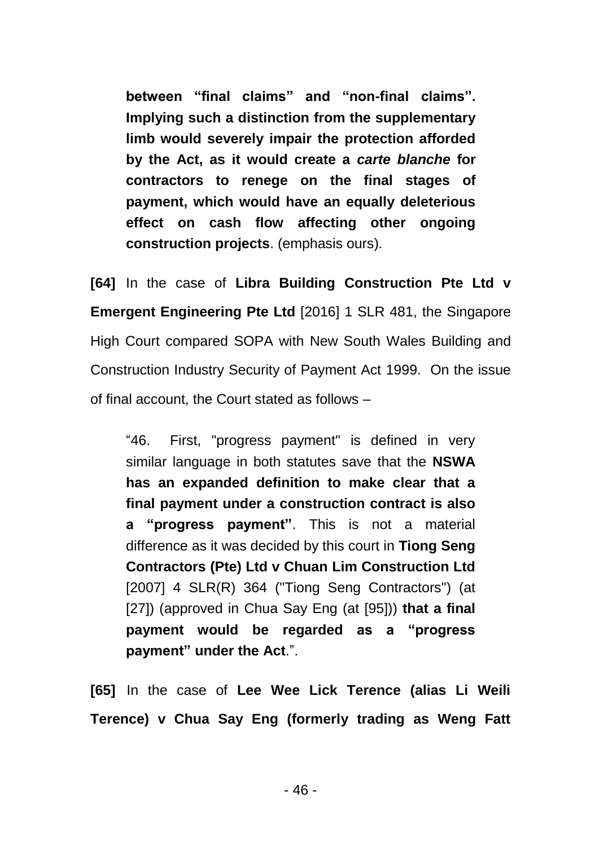**between "final claims" and "non-final claims". Implying such a distinction from the supplementary limb would severely impair the protection afforded by the Act, as it would create a** *carte blanche* **for contractors to renege on the final stages of payment, which would have an equally deleterious effect on cash flow affecting other ongoing construction projects**. (emphasis ours).

**[64]** In the case of **Libra Building Construction Pte Ltd v Emergent Engineering Pte Ltd** [2016] 1 SLR 481, the Singapore High Court compared SOPA with New South Wales Building and Construction Industry Security of Payment Act 1999. On the issue of final account, the Court stated as follows –

"46. First, "progress payment" is defined in very similar language in both statutes save that the **NSWA has an expanded definition to make clear that a final payment under a construction contract is also a "progress payment"**. This is not a material difference as it was decided by this court in **Tiong Seng Contractors (Pte) Ltd v Chuan Lim Construction Ltd** [\[2007\] 4 SLR\(R\) 364](javascript:viewPageContent() ("Tiong Seng Contractors") (at [27]) (approved in Chua Say Eng (at [95])) **that a final payment would be regarded as a "progress payment" under the Act**.".

**[65]** In the case of **Lee Wee Lick Terence (alias Li Weili Terence) v Chua Say Eng (formerly trading as Weng Fatt**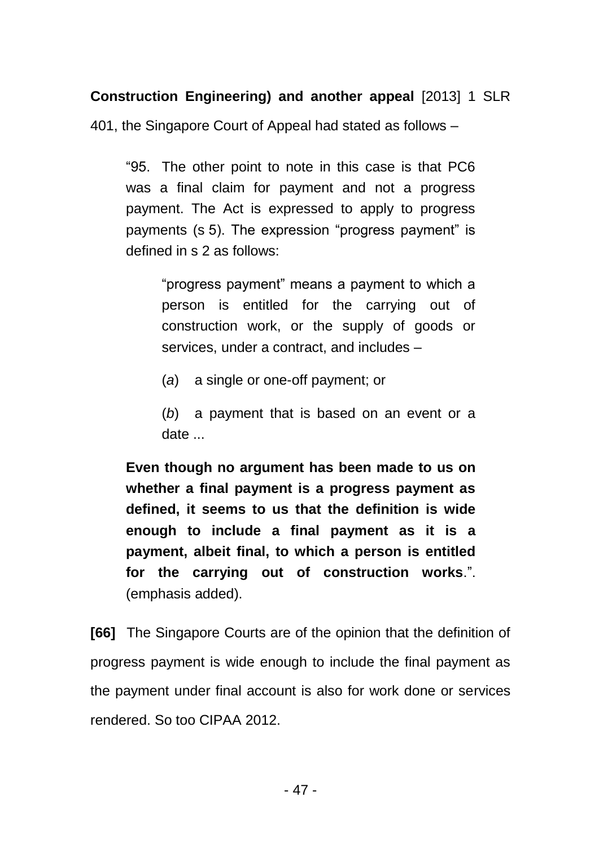**Construction Engineering) and another appeal** [2013] 1 SLR

401, the Singapore Court of Appeal had stated as follows –

"95. The other point to note in this case is that PC6 was a final claim for payment and not a progress payment. The Act is expressed to apply to progress payments (s 5). The expression "progress payment" is defined in s 2 as follows:

> "progress payment" means a payment to which a person is entitled for the carrying out of construction work, or the supply of goods or services, under a contract, and includes –

- (*a*) a single or one-off payment; or
- (*b*) a payment that is based on an event or a date ...

**Even though no argument has been made to us on whether a final payment is a progress payment as defined, it seems to us that the definition is wide enough to include a final payment as it is a payment, albeit final, to which a person is entitled for the carrying out of construction works**.". (emphasis added).

**[66]** The Singapore Courts are of the opinion that the definition of progress payment is wide enough to include the final payment as the payment under final account is also for work done or services rendered. So too CIPAA 2012.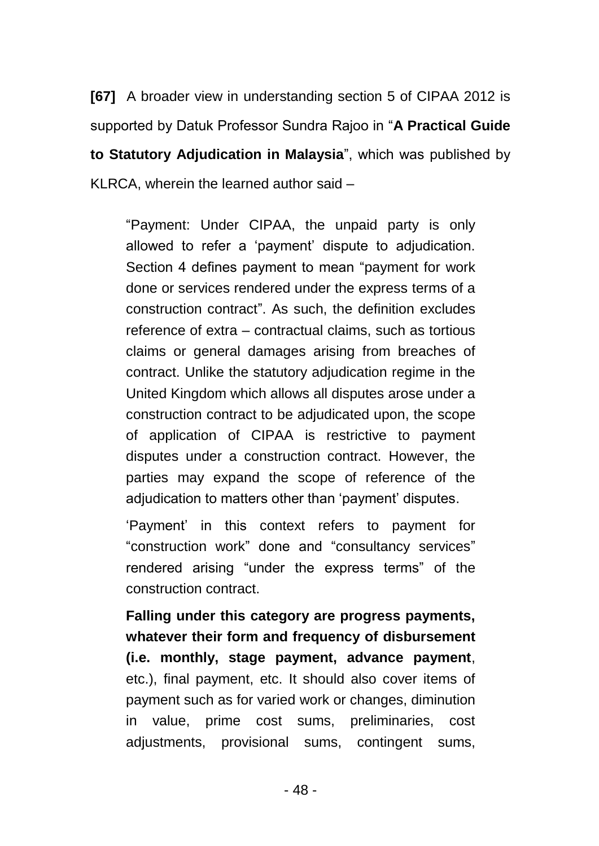**[67]** A broader view in understanding section 5 of CIPAA 2012 is supported by Datuk Professor Sundra Rajoo in "**A Practical Guide to Statutory Adjudication in Malaysia**", which was published by KLRCA, wherein the learned author said –

"Payment: Under CIPAA, the unpaid party is only allowed to refer a 'payment' dispute to adjudication. Section 4 defines payment to mean "payment for work done or services rendered under the express terms of a construction contract". As such, the definition excludes reference of extra – contractual claims, such as tortious claims or general damages arising from breaches of contract. Unlike the statutory adjudication regime in the United Kingdom which allows all disputes arose under a construction contract to be adjudicated upon, the scope of application of CIPAA is restrictive to payment disputes under a construction contract. However, the parties may expand the scope of reference of the adjudication to matters other than 'payment' disputes.

'Payment' in this context refers to payment for "construction work" done and "consultancy services" rendered arising "under the express terms" of the construction contract.

**Falling under this category are progress payments, whatever their form and frequency of disbursement (i.e. monthly, stage payment, advance payment**, etc.), final payment, etc. It should also cover items of payment such as for varied work or changes, diminution in value, prime cost sums, preliminaries, cost adjustments, provisional sums, contingent sums,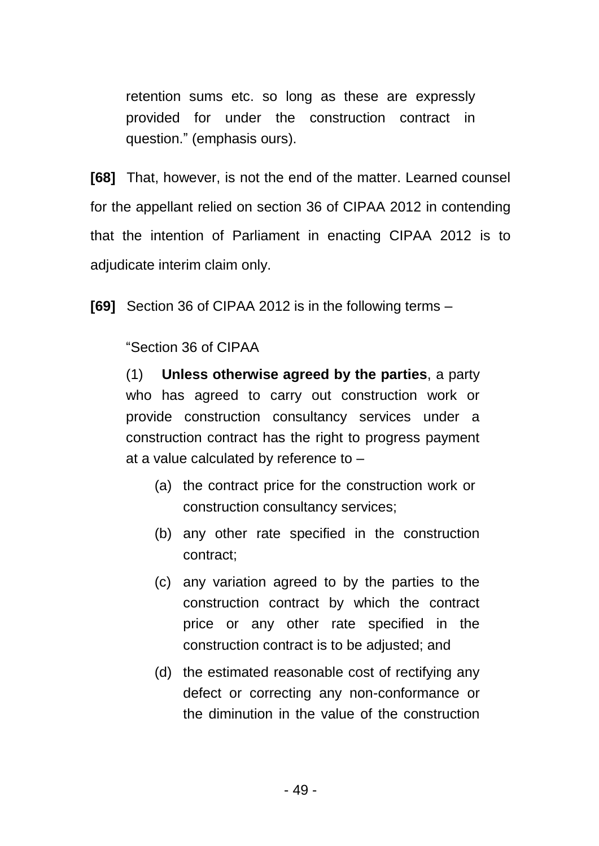retention sums etc. so long as these are expressly provided for under the construction contract in question." (emphasis ours).

**[68]** That, however, is not the end of the matter. Learned counsel for the appellant relied on section 36 of CIPAA 2012 in contending that the intention of Parliament in enacting CIPAA 2012 is to adjudicate interim claim only.

**[69]** Section 36 of CIPAA 2012 is in the following terms –

# "Section 36 of CIPAA

(1) **Unless otherwise agreed by the parties**, a party who has agreed to carry out construction work or provide construction consultancy services under a construction contract has the right to progress payment at a value calculated by reference to –

- (a) the contract price for the construction work or construction consultancy services;
- (b) any other rate specified in the construction contract;
- (c) any variation agreed to by the parties to the construction contract by which the contract price or any other rate specified in the construction contract is to be adjusted; and
- (d) the estimated reasonable cost of rectifying any defect or correcting any non-conformance or the diminution in the value of the construction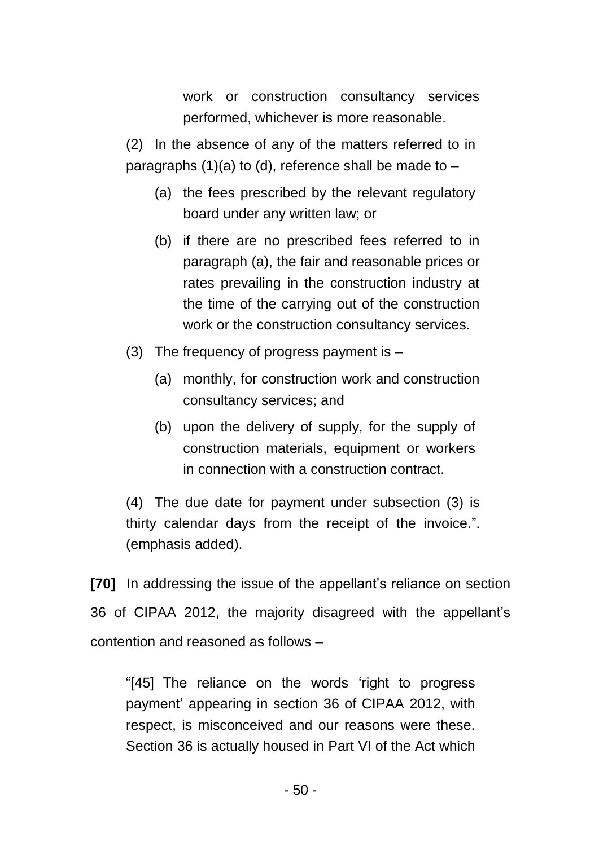work or construction consultancy services performed, whichever is more reasonable.

(2) In the absence of any of the matters referred to in paragraphs (1)(a) to (d), reference shall be made to  $-$ 

- (a) the fees prescribed by the relevant regulatory board under any written law; or
- (b) if there are no prescribed fees referred to in paragraph (a), the fair and reasonable prices or rates prevailing in the construction industry at the time of the carrying out of the construction work or the construction consultancy services.
- (3) The frequency of progress payment is
	- (a) monthly, for construction work and construction consultancy services; and
	- (b) upon the delivery of supply, for the supply of construction materials, equipment or workers in connection with a construction contract.

(4) The due date for payment under subsection (3) is thirty calendar days from the receipt of the invoice.". (emphasis added).

**[70]** In addressing the issue of the appellant's reliance on section 36 of CIPAA 2012, the majority disagreed with the appellant's contention and reasoned as follows –

"[45] The reliance on the words 'right to progress payment' appearing in section 36 of CIPAA 2012, with respect, is misconceived and our reasons were these. Section 36 is actually housed in Part VI of the Act which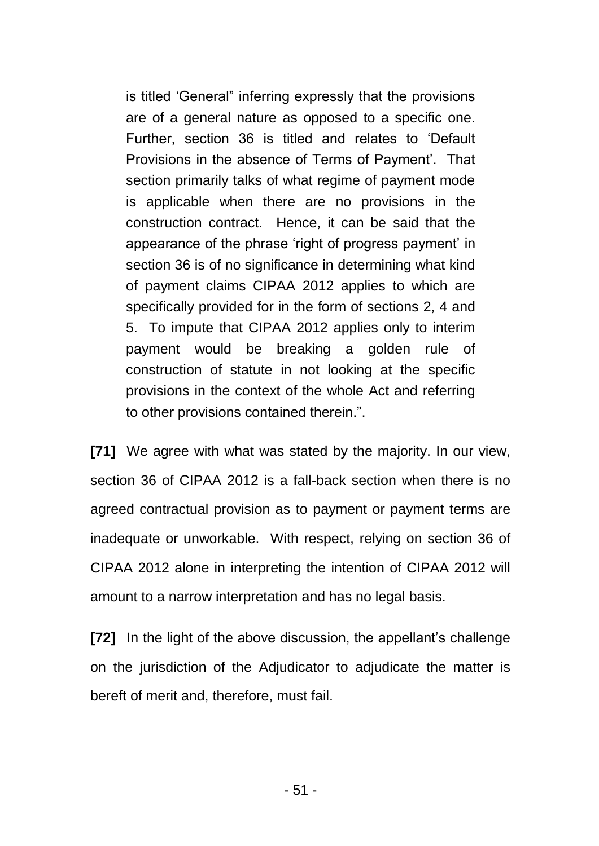is titled 'General" inferring expressly that the provisions are of a general nature as opposed to a specific one. Further, section 36 is titled and relates to 'Default Provisions in the absence of Terms of Payment'. That section primarily talks of what regime of payment mode is applicable when there are no provisions in the construction contract. Hence, it can be said that the appearance of the phrase 'right of progress payment' in section 36 is of no significance in determining what kind of payment claims CIPAA 2012 applies to which are specifically provided for in the form of sections 2, 4 and 5. To impute that CIPAA 2012 applies only to interim payment would be breaking a golden rule of construction of statute in not looking at the specific provisions in the context of the whole Act and referring to other provisions contained therein.".

**[71]** We agree with what was stated by the majority. In our view, section 36 of CIPAA 2012 is a fall-back section when there is no agreed contractual provision as to payment or payment terms are inadequate or unworkable. With respect, relying on section 36 of CIPAA 2012 alone in interpreting the intention of CIPAA 2012 will amount to a narrow interpretation and has no legal basis.

**[72]** In the light of the above discussion, the appellant's challenge on the jurisdiction of the Adjudicator to adjudicate the matter is bereft of merit and, therefore, must fail.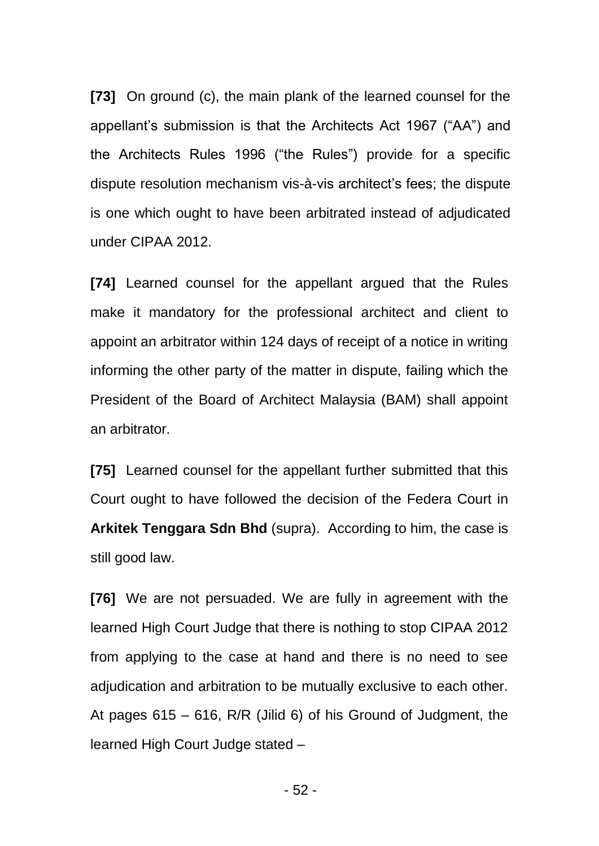**[73]** On ground (c), the main plank of the learned counsel for the appellant's submission is that the Architects Act 1967 ("AA") and the Architects Rules 1996 ("the Rules") provide for a specific dispute resolution mechanism vis-à-vis architect's fees; the dispute is one which ought to have been arbitrated instead of adjudicated under CIPAA 2012.

**[74]** Learned counsel for the appellant argued that the Rules make it mandatory for the professional architect and client to appoint an arbitrator within 124 days of receipt of a notice in writing informing the other party of the matter in dispute, failing which the President of the Board of Architect Malaysia (BAM) shall appoint an arbitrator.

**[75]** Learned counsel for the appellant further submitted that this Court ought to have followed the decision of the Federa Court in **Arkitek Tenggara Sdn Bhd** (supra). According to him, the case is still good law.

**[76]** We are not persuaded. We are fully in agreement with the learned High Court Judge that there is nothing to stop CIPAA 2012 from applying to the case at hand and there is no need to see adjudication and arbitration to be mutually exclusive to each other. At pages 615 – 616, R/R (Jilid 6) of his Ground of Judgment, the learned High Court Judge stated –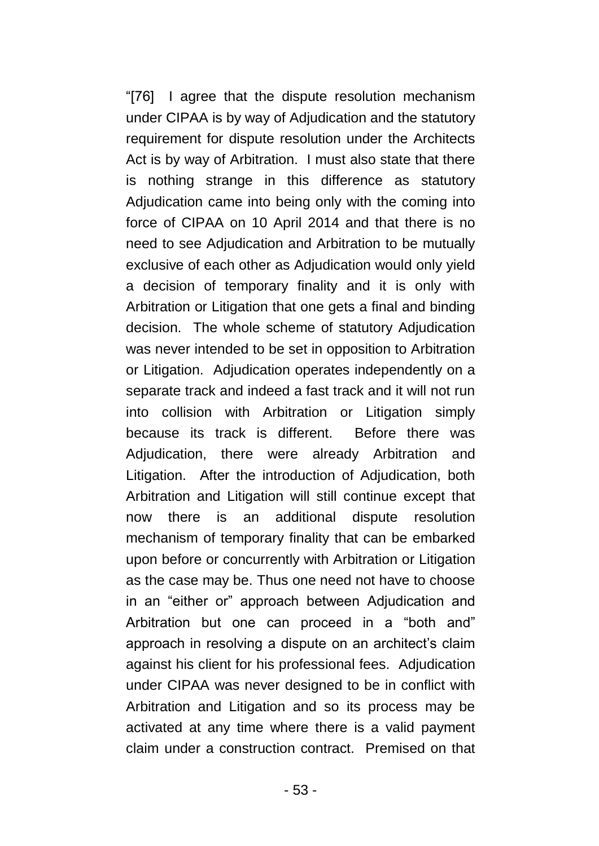"[76] I agree that the dispute resolution mechanism under CIPAA is by way of Adjudication and the statutory requirement for dispute resolution under the Architects Act is by way of Arbitration. I must also state that there is nothing strange in this difference as statutory Adjudication came into being only with the coming into force of CIPAA on 10 April 2014 and that there is no need to see Adjudication and Arbitration to be mutually exclusive of each other as Adjudication would only yield a decision of temporary finality and it is only with Arbitration or Litigation that one gets a final and binding decision. The whole scheme of statutory Adjudication was never intended to be set in opposition to Arbitration or Litigation. Adjudication operates independently on a separate track and indeed a fast track and it will not run into collision with Arbitration or Litigation simply because its track is different. Before there was Adjudication, there were already Arbitration and Litigation. After the introduction of Adjudication, both Arbitration and Litigation will still continue except that now there is an additional dispute resolution mechanism of temporary finality that can be embarked upon before or concurrently with Arbitration or Litigation as the case may be. Thus one need not have to choose in an "either or" approach between Adjudication and Arbitration but one can proceed in a "both and" approach in resolving a dispute on an architect's claim against his client for his professional fees. Adjudication under CIPAA was never designed to be in conflict with Arbitration and Litigation and so its process may be activated at any time where there is a valid payment claim under a construction contract. Premised on that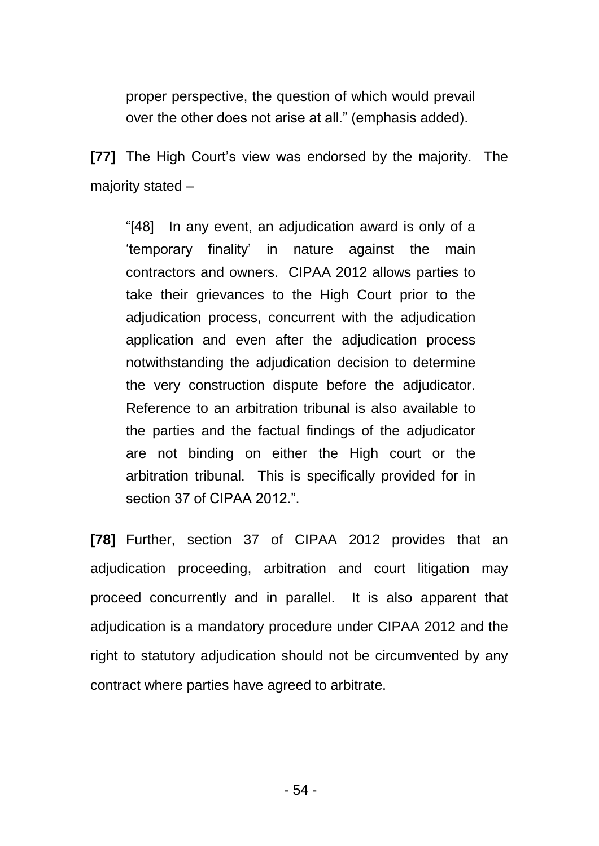proper perspective, the question of which would prevail over the other does not arise at all." (emphasis added).

**[77]** The High Court's view was endorsed by the majority. The majority stated –

"[48] In any event, an adjudication award is only of a 'temporary finality' in nature against the main contractors and owners. CIPAA 2012 allows parties to take their grievances to the High Court prior to the adjudication process, concurrent with the adjudication application and even after the adjudication process notwithstanding the adjudication decision to determine the very construction dispute before the adjudicator. Reference to an arbitration tribunal is also available to the parties and the factual findings of the adjudicator are not binding on either the High court or the arbitration tribunal. This is specifically provided for in section 37 of CIPAA 2012.".

**[78]** Further, section 37 of CIPAA 2012 provides that an adjudication proceeding, arbitration and court litigation may proceed concurrently and in parallel. It is also apparent that adjudication is a mandatory procedure under CIPAA 2012 and the right to statutory adjudication should not be circumvented by any contract where parties have agreed to arbitrate.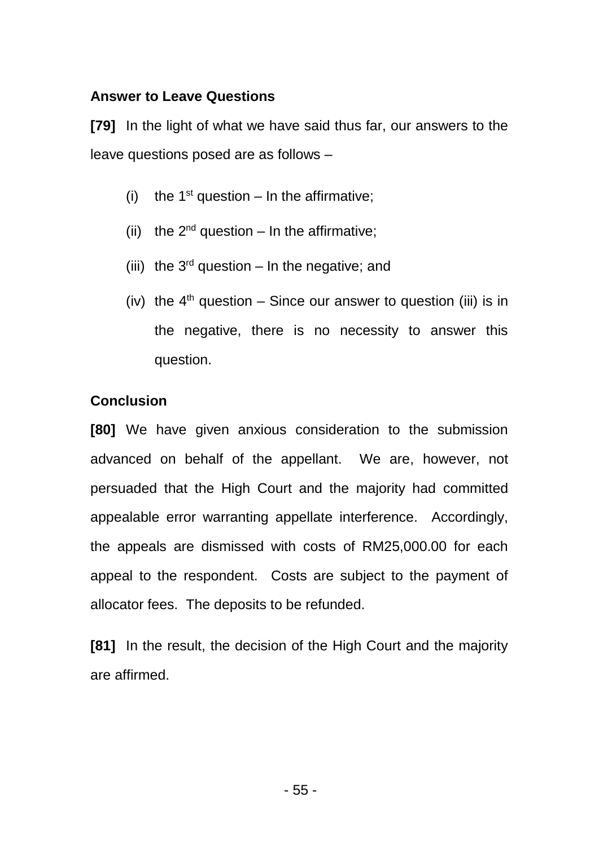## **Answer to Leave Questions**

**[79]** In the light of what we have said thus far, our answers to the leave questions posed are as follows –

- (i) the  $1<sup>st</sup>$  question In the affirmative;
- (ii) the  $2^{nd}$  question In the affirmative;
- (iii) the  $3<sup>rd</sup>$  question In the negative; and
- (iv) the  $4<sup>th</sup>$  question Since our answer to question (iii) is in the negative, there is no necessity to answer this question.

# **Conclusion**

**[80]** We have given anxious consideration to the submission advanced on behalf of the appellant. We are, however, not persuaded that the High Court and the majority had committed appealable error warranting appellate interference. Accordingly, the appeals are dismissed with costs of RM25,000.00 for each appeal to the respondent. Costs are subject to the payment of allocator fees. The deposits to be refunded.

**[81]** In the result, the decision of the High Court and the majority are affirmed.